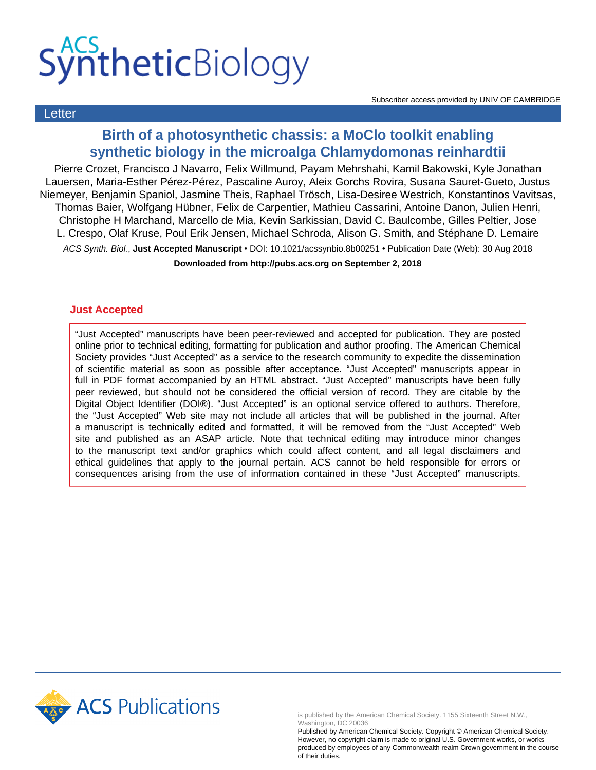# SyntheticBiology

#### **Letter**

Subscriber access provided by UNIV OF CAMBRIDGE

# **Birth of a photosynthetic chassis: a MoClo toolkit enabling synthetic biology in the microalga Chlamydomonas reinhardtii**

Pierre Crozet, Francisco J Navarro, Felix Willmund, Payam Mehrshahi, Kamil Bakowski, Kyle Jonathan Lauersen, Maria-Esther Pérez-Pérez, Pascaline Auroy, Aleix Gorchs Rovira, Susana Sauret-Gueto, Justus Niemeyer, Benjamin Spaniol, Jasmine Theis, Raphael Trösch, Lisa-Desiree Westrich, Konstantinos Vavitsas, Thomas Baier, Wolfgang Hübner, Felix de Carpentier, Mathieu Cassarini, Antoine Danon, Julien Henri, Christophe H Marchand, Marcello de Mia, Kevin Sarkissian, David C. Baulcombe, Gilles Peltier, Jose L. Crespo, Olaf Kruse, Poul Erik Jensen, Michael Schroda, Alison G. Smith, and Stéphane D. Lemaire

ACS Synth. Biol., **Just Accepted Manuscript** • DOI: 10.1021/acssynbio.8b00251 • Publication Date (Web): 30 Aug 2018 **Downloaded from http://pubs.acs.org on September 2, 2018**

### **Just Accepted**

"Just Accepted" manuscripts have been peer-reviewed and accepted for publication. They are posted online prior to technical editing, formatting for publication and author proofing. The American Chemical Society provides "Just Accepted" as a service to the research community to expedite the dissemination of scientific material as soon as possible after acceptance. "Just Accepted" manuscripts appear in full in PDF format accompanied by an HTML abstract. "Just Accepted" manuscripts have been fully peer reviewed, but should not be considered the official version of record. They are citable by the Digital Object Identifier (DOI®). "Just Accepted" is an optional service offered to authors. Therefore, the "Just Accepted" Web site may not include all articles that will be published in the journal. After a manuscript is technically edited and formatted, it will be removed from the "Just Accepted" Web site and published as an ASAP article. Note that technical editing may introduce minor changes to the manuscript text and/or graphics which could affect content, and all legal disclaimers and ethical guidelines that apply to the journal pertain. ACS cannot be held responsible for errors or consequences arising from the use of information contained in these "Just Accepted" manuscripts.



is published by the American Chemical Society. 1155 Sixteenth Street N.W., Washington, DC 20036

Published by American Chemical Society. Copyright © American Chemical Society. However, no copyright claim is made to original U.S. Government works, or works produced by employees of any Commonwealth realm Crown government in the course of their duties.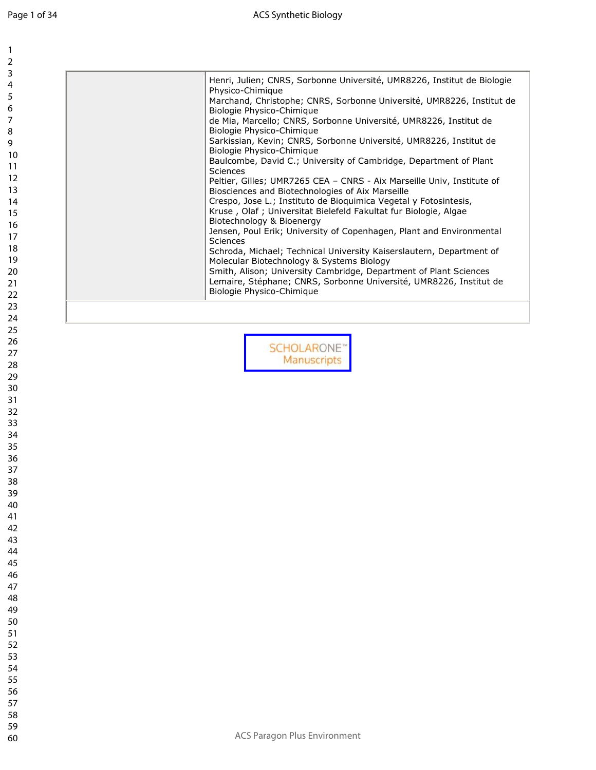| Henri, Julien; CNRS, Sorbonne Université, UMR8226, Institut de Biologie<br>Physico-Chimique<br>Marchand, Christophe; CNRS, Sorbonne Université, UMR8226, Institut de<br>Biologie Physico-Chimigue<br>de Mia, Marcello; CNRS, Sorbonne Université, UMR8226, Institut de<br>Biologie Physico-Chimigue<br>Sarkissian, Kevin; CNRS, Sorbonne Université, UMR8226, Institut de<br>Biologie Physico-Chimigue<br>Baulcombe, David C.; University of Cambridge, Department of Plant<br><b>Sciences</b><br>Peltier, Gilles; UMR7265 CEA - CNRS - Aix Marseille Univ, Institute of<br>Biosciences and Biotechnologies of Aix Marseille<br>Crespo, Jose L.; Instituto de Bioguimica Vegetal y Fotosintesis,<br>Kruse, Olaf; Universitat Bielefeld Fakultat fur Biologie, Algae<br>Biotechnology & Bioenergy<br>Jensen, Poul Erik; University of Copenhagen, Plant and Environmental<br><b>Sciences</b><br>Schroda, Michael; Technical University Kaiserslautern, Department of<br>Molecular Biotechnology & Systems Biology<br>Smith, Alison; University Cambridge, Department of Plant Sciences<br>Lemaire, Stéphane; CNRS, Sorbonne Université, UMR8226, Institut de<br>Biologie Physico-Chimigue |
|------------------------------------------------------------------------------------------------------------------------------------------------------------------------------------------------------------------------------------------------------------------------------------------------------------------------------------------------------------------------------------------------------------------------------------------------------------------------------------------------------------------------------------------------------------------------------------------------------------------------------------------------------------------------------------------------------------------------------------------------------------------------------------------------------------------------------------------------------------------------------------------------------------------------------------------------------------------------------------------------------------------------------------------------------------------------------------------------------------------------------------------------------------------------------------------|
|------------------------------------------------------------------------------------------------------------------------------------------------------------------------------------------------------------------------------------------------------------------------------------------------------------------------------------------------------------------------------------------------------------------------------------------------------------------------------------------------------------------------------------------------------------------------------------------------------------------------------------------------------------------------------------------------------------------------------------------------------------------------------------------------------------------------------------------------------------------------------------------------------------------------------------------------------------------------------------------------------------------------------------------------------------------------------------------------------------------------------------------------------------------------------------------|

**SCHOLARONE**<sup>®</sup> Manuscripts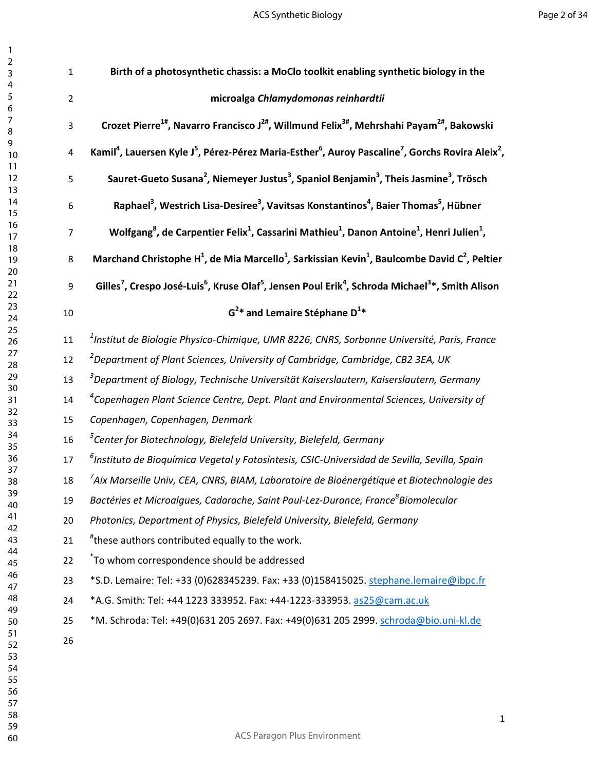ACS Synthetic Biology

Page 2 of 34

| $\mathbf 1$             | Birth of a photosynthetic chassis: a MoClo toolkit enabling synthetic biology in the                                                                          |
|-------------------------|---------------------------------------------------------------------------------------------------------------------------------------------------------------|
| $\overline{2}$          | microalga Chlamydomonas reinhardtii                                                                                                                           |
| 3                       | Crozet Pierre <sup>1#</sup> , Navarro Francisco J <sup>2#</sup> , Willmund Felix <sup>3#</sup> , Mehrshahi Payam <sup>2#</sup> , Bakowski                     |
| $\overline{\mathbf{4}}$ | Kamil <sup>4</sup> , Lauersen Kyle J <sup>5</sup> , Pérez-Pérez Maria-Esther <sup>6</sup> , Auroy Pascaline <sup>7</sup> , Gorchs Rovira Aleix <sup>2</sup> , |
| 5                       | Sauret-Gueto Susana <sup>2</sup> , Niemeyer Justus <sup>3</sup> , Spaniol Benjamin <sup>3</sup> , Theis Jasmine <sup>3</sup> , Trösch                         |
| 6                       | Raphael <sup>3</sup> , Westrich Lisa-Desiree <sup>3</sup> , Vavitsas Konstantinos <sup>4</sup> , Baier Thomas <sup>5</sup> , Hübner                           |
| $\overline{7}$          | Wolfgang <sup>8</sup> , de Carpentier Felix <sup>1</sup> , Cassarini Mathieu <sup>1</sup> , Danon Antoine <sup>1</sup> , Henri Julien <sup>1</sup> ,          |
| 8                       | Marchand Christophe H <sup>1</sup> , de Mia Marcello <sup>1</sup> , Sarkissian Kevin <sup>1</sup> , Baulcombe David C <sup>2</sup> , Peltier                  |
| $\boldsymbol{9}$        | Gilles <sup>7</sup> , Crespo José-Luis <sup>6</sup> , Kruse Olaf <sup>5</sup> , Jensen Poul Erik <sup>4</sup> , Schroda Michael <sup>3*</sup> , Smith Alison  |
| 10                      | $G^{2*}$ and Lemaire Stéphane D <sup>1</sup> *                                                                                                                |
| 11                      | $^{1}$ Institut de Biologie Physico-Chimigue, UMR 8226, CNRS, Sorbonne Université, Paris, France                                                              |
| 12                      | <sup>2</sup> Department of Plant Sciences, University of Cambridge, Cambridge, CB2 3EA, UK                                                                    |
| 13                      | <sup>3</sup> Department of Biology, Technische Universität Kaiserslautern, Kaiserslautern, Germany                                                            |
| 14                      | <sup>4</sup> Copenhagen Plant Science Centre, Dept. Plant and Environmental Sciences, University of                                                           |
| 15                      | Copenhagen, Copenhagen, Denmark                                                                                                                               |
| 16                      | <sup>5</sup> Center for Biotechnology, Bielefeld University, Bielefeld, Germany                                                                               |
| 17                      | <sup>6</sup> Instituto de Bioquímica Vegetal y Fotosíntesis, CSIC-Universidad de Sevilla, Sevilla, Spain                                                      |
| 18                      | <sup>7</sup> Aix Marseille Univ, CEA, CNRS, BIAM, Laboratoire de Bioénergétique et Biotechnologie des                                                         |
| 19                      | Bactéries et Microalgues, Cadarache, Saint Paul-Lez-Durance, France <sup>8</sup> Biomolecular                                                                 |
| 20                      | Photonics, Department of Physics, Bielefeld University, Bielefeld, Germany                                                                                    |
| 21                      | "these authors contributed equally to the work.                                                                                                               |
| 22                      | To whom correspondence should be addressed                                                                                                                    |
| 23                      | *S.D. Lemaire: Tel: +33 (0)628345239. Fax: +33 (0)158415025. stephane.lemaire@ibpc.fr                                                                         |
| 24                      | *A.G. Smith: Tel: +44 1223 333952. Fax: +44-1223-333953. as25@cam.ac.uk                                                                                       |
| 25                      | *M. Schroda: Tel: +49(0)631 205 2697. Fax: +49(0)631 205 2999. schroda@bio.uni-kl.de                                                                          |
| 26                      |                                                                                                                                                               |
|                         |                                                                                                                                                               |
|                         |                                                                                                                                                               |
|                         |                                                                                                                                                               |
|                         | $\mathbf{1}$                                                                                                                                                  |
|                         |                                                                                                                                                               |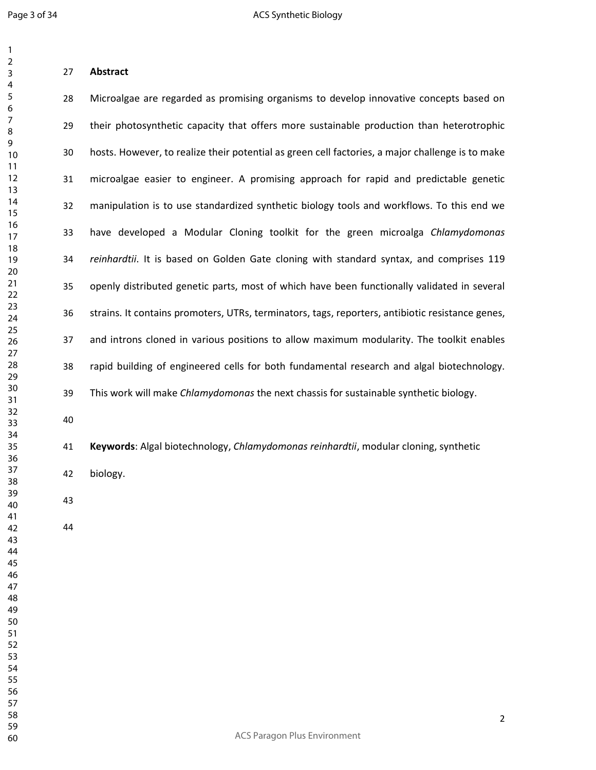| 2                 |  |
|-------------------|--|
| 3                 |  |
| 4                 |  |
|                   |  |
| 5                 |  |
| 6                 |  |
|                   |  |
| 8                 |  |
|                   |  |
| 9                 |  |
| 10                |  |
| 1<br>$\mathbf{1}$ |  |
| $\overline{12}$   |  |
|                   |  |
| 3<br>1            |  |
| $\overline{14}$   |  |
| 15                |  |
| 16                |  |
| 1                 |  |
|                   |  |
| 18                |  |
| 19                |  |
| 20                |  |
| $\overline{21}$   |  |
| $^{22}$           |  |
|                   |  |
| 23                |  |
| $\overline{24}$   |  |
| 25                |  |
| 26                |  |
|                   |  |
| 27                |  |
| 28                |  |
| 29                |  |
| 30                |  |
|                   |  |
| 31                |  |
| $\overline{32}$   |  |
| 33                |  |
| 34                |  |
|                   |  |
| 35                |  |
| 36                |  |
| 37                |  |
| 38                |  |
| 39                |  |
|                   |  |
| 40                |  |
| 41                |  |
| 42                |  |
| 43                |  |
|                   |  |
| 44                |  |
| 45                |  |
| 46                |  |
| 47                |  |
| 48                |  |
|                   |  |
| 49                |  |
| 50                |  |
| 51                |  |
| 52                |  |
|                   |  |
| 53                |  |
| 54                |  |
| 55                |  |
| 56                |  |
| 57                |  |
|                   |  |
| 58                |  |
| 59                |  |

#### **Abstract**

Microalgae are regarded as promising organisms to develop innovative concepts based on their photosynthetic capacity that offers more sustainable production than heterotrophic hosts. However, to realize their potential as green cell factories, a major challenge is to make microalgae easier to engineer. A promising approach for rapid and predictable genetic manipulation is to use standardized synthetic biology tools and workflows. To this end we have developed a Modular Cloning toolkit for the green microalga *Chlamydomonas reinhardtii*. It is based on Golden Gate cloning with standard syntax, and comprises 119 openly distributed genetic parts, most of which have been functionally validated in several strains. It contains promoters, UTRs, terminators, tags, reporters, antibiotic resistance genes, and introns cloned in various positions to allow maximum modularity. The toolkit enables rapid building of engineered cells for both fundamental research and algal biotechnology. This work will make *Chlamydomonas* the next chassis for sustainable synthetic biology.

**Keywords**: Algal biotechnology, *Chlamydomonas reinhardtii*, modular cloning, synthetic

biology.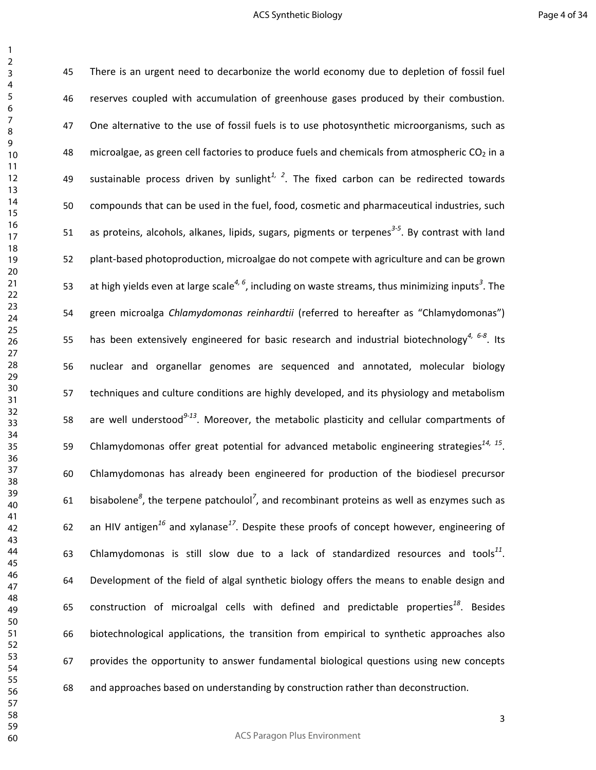## ACS Synthetic Biology

| <u>)</u>                     |  |
|------------------------------|--|
| 3                            |  |
| 4                            |  |
|                              |  |
| 5                            |  |
| 6                            |  |
|                              |  |
| 8                            |  |
|                              |  |
| 9                            |  |
| 10                           |  |
| $\mathbf{1}$<br>1            |  |
| $\mathbf{1}$<br>フ            |  |
| 3<br>1                       |  |
|                              |  |
| 1<br>4                       |  |
| 15                           |  |
| 16                           |  |
| 1                            |  |
|                              |  |
| 18                           |  |
| 19                           |  |
| 20                           |  |
| $\overline{21}$              |  |
| $\overline{2}$<br>,          |  |
|                              |  |
| $^{23}$                      |  |
| $\frac{24}{3}$               |  |
| 25                           |  |
| 26                           |  |
|                              |  |
| 27                           |  |
| 28                           |  |
| 29                           |  |
| 30                           |  |
|                              |  |
| $\overline{31}$              |  |
| $\overline{\mathbf{3}}$<br>2 |  |
| 33                           |  |
| 34                           |  |
|                              |  |
| 35                           |  |
| 36                           |  |
| $\overline{\mathbf{3}}$      |  |
| 38                           |  |
| €                            |  |
| $\overline{\mathbf{3}}$      |  |
| 40                           |  |
| 41                           |  |
| 42                           |  |
| 43                           |  |
|                              |  |
| 44                           |  |
| 45                           |  |
| 46                           |  |
| 47                           |  |
|                              |  |
| 48                           |  |
| 49                           |  |
| 50                           |  |
| 51                           |  |
| 5.<br>2                      |  |
|                              |  |
| 53                           |  |
| 54                           |  |
| 55                           |  |
| 56                           |  |
|                              |  |
| 57                           |  |
| 58                           |  |
| 59                           |  |
|                              |  |
| 60                           |  |

| There is an urgent need to decarbonize the world economy due to depletion of fossil fuel                                   |
|----------------------------------------------------------------------------------------------------------------------------|
| reserves coupled with accumulation of greenhouse gases produced by their combustion.                                       |
| One alternative to the use of fossil fuels is to use photosynthetic microorganisms, such as                                |
| microalgae, as green cell factories to produce fuels and chemicals from atmospheric CO <sub>2</sub> in a                   |
| sustainable process driven by sunlight <sup><math>1/2</math></sup> . The fixed carbon can be redirected towards            |
| compounds that can be used in the fuel, food, cosmetic and pharmaceutical industries, such                                 |
| as proteins, alcohols, alkanes, lipids, sugars, pigments or terpenes <sup>3-5</sup> . By contrast with land                |
| plant-based photoproduction, microalgae do not compete with agriculture and can be grown                                   |
| at high yields even at large scale <sup>4, 6</sup> , including on waste streams, thus minimizing inputs <sup>3</sup> . The |
| green microalga Chlamydomonas reinhardtii (referred to hereafter as "Chlamydomonas")                                       |
| has been extensively engineered for basic research and industrial biotechnology <sup>4, 6-8</sup> . Its                    |
| nuclear and organellar genomes are sequenced and annotated, molecular biology                                              |
| techniques and culture conditions are highly developed, and its physiology and metabolism                                  |
| are well understood $9-13$ . Moreover, the metabolic plasticity and cellular compartments of                               |
| Chlamydomonas offer great potential for advanced metabolic engineering strategies <sup>14, 15</sup> .                      |
| Chlamydomonas has already been engineered for production of the biodiesel precursor                                        |
| bisabolene <sup>8</sup> , the terpene patchoulol <sup>7</sup> , and recombinant proteins as well as enzymes such as        |
| an HIV antigen <sup>16</sup> and xylanase <sup>17</sup> . Despite these proofs of concept however, engineering of          |
| Chlamydomonas is still slow due to a lack of standardized resources and tools <sup>11</sup> .                              |
| Development of the field of algal synthetic biology offers the means to enable design and                                  |
| construction of microalgal cells with defined and predictable properties <sup>18</sup> . Besides                           |
| biotechnological applications, the transition from empirical to synthetic approaches also                                  |
| provides the opportunity to answer fundamental biological questions using new concepts                                     |
|                                                                                                                            |
|                                                                                                                            |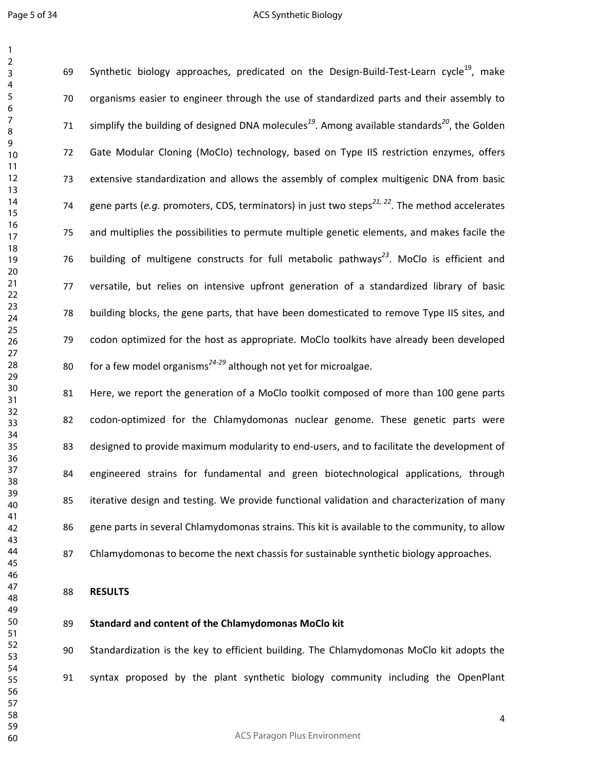Page 5 of 34

 

#### ACS Synthetic Biology

69 Synthetic biology approaches, predicated on the Design-Build-Test-Learn cycle<sup>19</sup>, make organisms easier to engineer through the use of standardized parts and their assembly to 71 simplify the building of designed DNA molecules<sup>19</sup>. Among available standards<sup>20</sup>, the Golden Gate Modular Cloning (MoClo) technology, based on Type IIS restriction enzymes, offers extensive standardization and allows the assembly of complex multigenic DNA from basic gene parts (*e.g.* promoters, CDS, terminators) in just two steps*21, 22* . The method accelerates and multiplies the possibilities to permute multiple genetic elements, and makes facile the 76 building of multigene constructs for full metabolic pathways<sup>23</sup>. MoClo is efficient and versatile, but relies on intensive upfront generation of a standardized library of basic building blocks, the gene parts, that have been domesticated to remove Type IIS sites, and codon optimized for the host as appropriate. MoClo toolkits have already been developed 80 for a few model organisms<sup> $24-29$ </sup> although not yet for microalgae.

Here, we report the generation of a MoClo toolkit composed of more than 100 gene parts codon-optimized for the Chlamydomonas nuclear genome. These genetic parts were designed to provide maximum modularity to end-users, and to facilitate the development of engineered strains for fundamental and green biotechnological applications, through iterative design and testing. We provide functional validation and characterization of many gene parts in several Chlamydomonas strains. This kit is available to the community, to allow Chlamydomonas to become the next chassis for sustainable synthetic biology approaches.

#### **RESULTS**

**Standard and content of the Chlamydomonas MoClo kit** 

Standardization is the key to efficient building. The Chlamydomonas MoClo kit adopts the syntax proposed by the plant synthetic biology community including the OpenPlant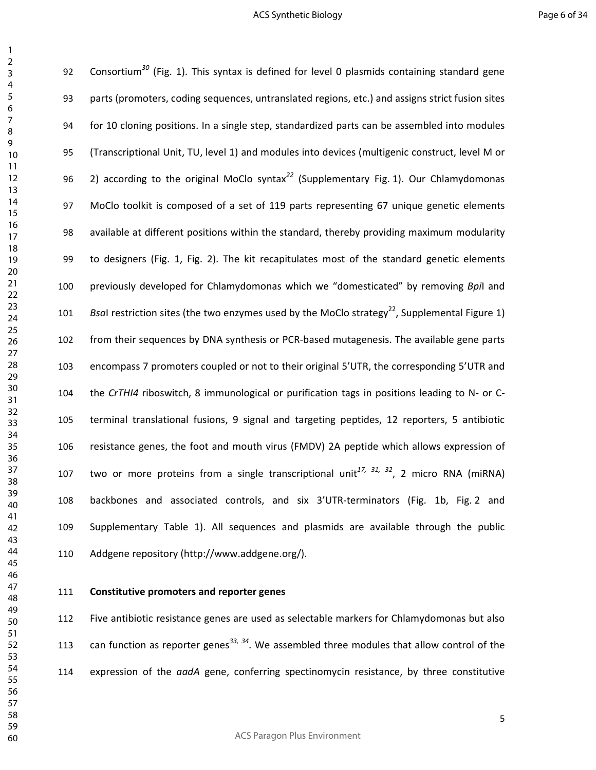#### ACS Synthetic Biology

| 2                                                                  |
|--------------------------------------------------------------------|
| ξ                                                                  |
|                                                                    |
| 4                                                                  |
| 5                                                                  |
| 6                                                                  |
|                                                                    |
| 8                                                                  |
|                                                                    |
| 9                                                                  |
| 10                                                                 |
| 1<br>1                                                             |
| 1<br>2                                                             |
|                                                                    |
| 3<br>1                                                             |
| $\overline{14}$                                                    |
| 15                                                                 |
| 16                                                                 |
| 7<br>1                                                             |
|                                                                    |
| 18                                                                 |
| 19                                                                 |
| 20                                                                 |
| $\overline{21}$                                                    |
|                                                                    |
| $\overline{2}$<br>$\overline{c}$                                   |
| $^{23}$                                                            |
| 24                                                                 |
| 25                                                                 |
| 26                                                                 |
|                                                                    |
| 27                                                                 |
| 28                                                                 |
| 29                                                                 |
| 30                                                                 |
|                                                                    |
| $\overline{\textbf{3}}$                                            |
| $\overline{\mathbf{3}}$<br>$\overline{a}$                          |
| 3<br>$\overline{\mathbf{3}}$                                       |
| 34                                                                 |
| 35                                                                 |
|                                                                    |
| 36                                                                 |
| 37                                                                 |
| 38                                                                 |
| ֦֦֦ׅׅׅ֦֧ׅׅ֧֧֚֚֚֚֚֚֚֚֚֚֚֚֚֚֚֚֚֚֚֚֚֡֝֡֝֡֡֜֓֡֡֡֓֡֡֬֝֓֡֡֬֓֡֬֓֓֞֝֓<br>ξ |
|                                                                    |
| 40                                                                 |
| 41                                                                 |
| 42                                                                 |
| 43<br>3                                                            |
| 44                                                                 |
|                                                                    |
| 45                                                                 |
| 46                                                                 |
| 47                                                                 |
| 48                                                                 |
| 49                                                                 |
|                                                                    |
| 50                                                                 |
| 51                                                                 |
| $\overline{5}$<br>2                                                |
| $\overline{\phantom{a}}$<br>ξ                                      |
| 54                                                                 |
|                                                                    |
| 55                                                                 |
| 56                                                                 |
| 57                                                                 |
| 58                                                                 |
|                                                                    |
| 59                                                                 |
| 60                                                                 |

| 92  | Consortium <sup>30</sup> (Fig. 1). This syntax is defined for level 0 plasmids containing standard gene   |
|-----|-----------------------------------------------------------------------------------------------------------|
| 93  | parts (promoters, coding sequences, untranslated regions, etc.) and assigns strict fusion sites           |
| 94  | for 10 cloning positions. In a single step, standardized parts can be assembled into modules              |
| 95  | (Transcriptional Unit, TU, level 1) and modules into devices (multigenic construct, level M or            |
| 96  | 2) according to the original MoClo syntax <sup>22</sup> (Supplementary Fig. 1). Our Chlamydomonas         |
| 97  | MoClo toolkit is composed of a set of 119 parts representing 67 unique genetic elements                   |
| 98  | available at different positions within the standard, thereby providing maximum modularity                |
| 99  | to designers (Fig. 1, Fig. 2). The kit recapitulates most of the standard genetic elements                |
| 100 | previously developed for Chlamydomonas which we "domesticated" by removing Bpil and                       |
| 101 | Bsal restriction sites (the two enzymes used by the MoClo strategy <sup>22</sup> , Supplemental Figure 1) |
| 102 | from their sequences by DNA synthesis or PCR-based mutagenesis. The available gene parts                  |
| 103 | encompass 7 promoters coupled or not to their original 5'UTR, the corresponding 5'UTR and                 |
| 104 | the CrTHI4 riboswitch, 8 immunological or purification tags in positions leading to N- or C-              |
| 105 | terminal translational fusions, 9 signal and targeting peptides, 12 reporters, 5 antibiotic               |
| 106 | resistance genes, the foot and mouth virus (FMDV) 2A peptide which allows expression of                   |
| 107 | two or more proteins from a single transcriptional unit <sup>17, 31, 32</sup> , 2 micro RNA (miRNA)       |
| 108 | backbones and associated controls, and six 3'UTR-terminators (Fig. 1b, Fig. 2 and                         |
| 109 | Supplementary Table 1). All sequences and plasmids are available through the public                       |
| 110 | Addgene repository (http://www.addgene.org/).                                                             |

**Constitutive promoters and reporter genes** 

Five antibiotic resistance genes are used as selectable markers for Chlamydomonas but also 113 can function as reporter genes<sup>33, 34</sup>. We assembled three modules that allow control of the expression of the *aadA* gene, conferring spectinomycin resistance, by three constitutive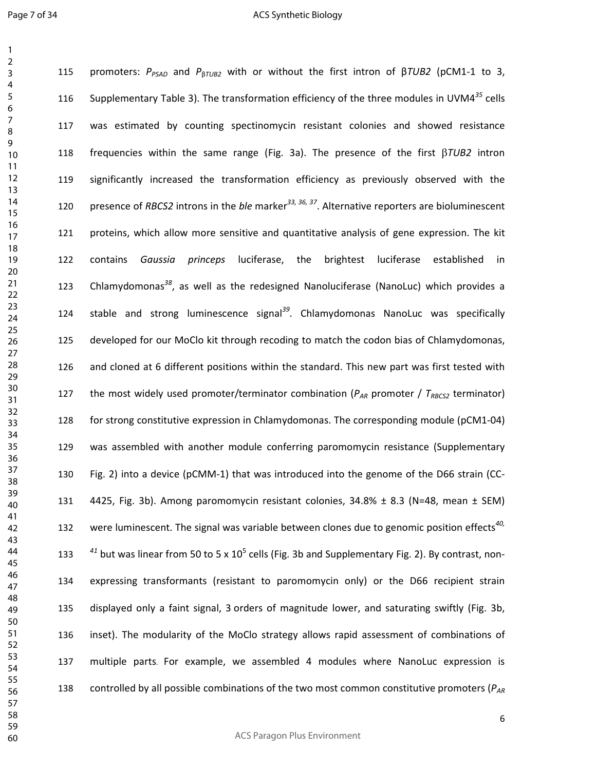Page 7 of 34

promoters: *PPSAD* and *P*<sup>β</sup>*TUB2* with or without the first intron of β*TUB2* (pCM1-1 to 3, 116 Supplementary Table 3). The transformation efficiency of the three modules in UVM4<sup>35</sup> cells was estimated by counting spectinomycin resistant colonies and showed resistance frequencies within the same range (Fig. 3a). The presence of the first β*TUB2* intron significantly increased the transformation efficiency as previously observed with the 120 presence of *RBCS2* introns in the *ble* marker<sup>33, 36, 37. Alternative reporters are bioluminescent</sup> proteins, which allow more sensitive and quantitative analysis of gene expression. The kit contains *Gaussia princeps* luciferase, the brightest luciferase established in 123 Chlamydomonas<sup>38</sup>, as well as the redesigned Nanoluciferase (NanoLuc) which provides a 124 stable and strong luminescence signal<sup>39</sup>. Chlamydomonas NanoLuc was specifically developed for our MoClo kit through recoding to match the codon bias of Chlamydomonas, and cloned at 6 different positions within the standard. This new part was first tested with 127 the most widely used promoter/terminator combination ( $P_{AR}$  promoter /  $T_{RBCS2}$  terminator) for strong constitutive expression in Chlamydomonas. The corresponding module (pCM1-04) was assembled with another module conferring paromomycin resistance (Supplementary Fig. 2) into a device (pCMM-1) that was introduced into the genome of the D66 strain (CC-4425, Fig. 3b). Among paromomycin resistant colonies, 34.8% ± 8.3 (N=48, mean ± SEM) 132 were luminescent. The signal was variable between clones due to genomic position effects<sup>40,</sup>  $^{41}$  but was linear from 50 to 5 x 10<sup>5</sup> cells (Fig. 3b and Supplementary Fig. 2). By contrast, non-expressing transformants (resistant to paromomycin only) or the D66 recipient strain displayed only a faint signal, 3 orders of magnitude lower, and saturating swiftly (Fig. 3b, inset). The modularity of the MoClo strategy allows rapid assessment of combinations of multiple parts. For example, we assembled 4 modules where NanoLuc expression is controlled by all possible combinations of the two most common constitutive promoters (*PAR*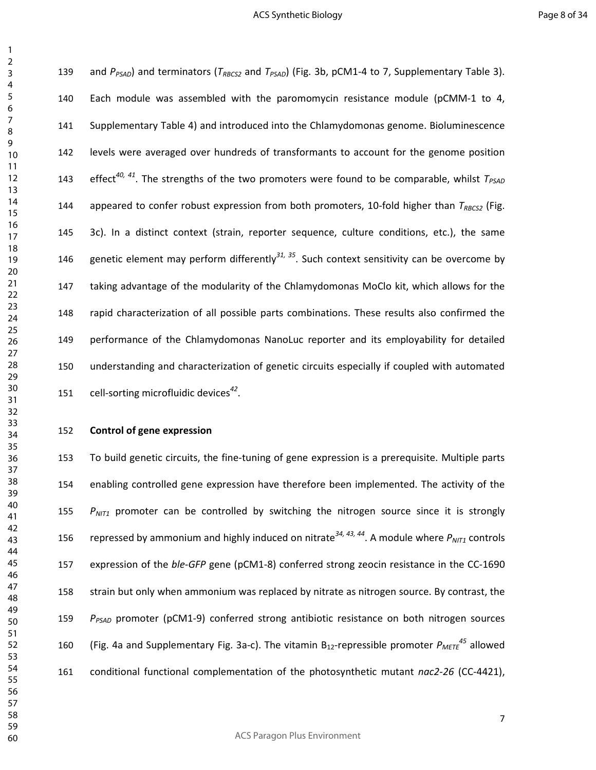139 and  $P_{PSAD}$ ) and terminators ( $T_{RBCS2}$  and  $T_{PSAD}$ ) (Fig. 3b, pCM1-4 to 7, Supplementary Table 3). Each module was assembled with the paromomycin resistance module (pCMM-1 to 4, Supplementary Table 4) and introduced into the Chlamydomonas genome. Bioluminescence levels were averaged over hundreds of transformants to account for the genome position 143 effect<sup>40, 41</sup>. The strengths of the two promoters were found to be comparable, whilst  $T_{PSAD}$ 144 appeared to confer robust expression from both promoters, 10-fold higher than  $T_{BRCS}$  (Fig. 3c). In a distinct context (strain, reporter sequence, culture conditions, etc.), the same 146 genetic element may perform differently<sup>31, 35</sup>. Such context sensitivity can be overcome by taking advantage of the modularity of the Chlamydomonas MoClo kit, which allows for the rapid characterization of all possible parts combinations. These results also confirmed the performance of the Chlamydomonas NanoLuc reporter and its employability for detailed understanding and characterization of genetic circuits especially if coupled with automated 151 cell-sorting microfluidic devices<sup>42</sup>.

#### **Control of gene expression**

To build genetic circuits, the fine-tuning of gene expression is a prerequisite. Multiple parts enabling controlled gene expression have therefore been implemented. The activity of the *P<sub>NIT1</sub>* promoter can be controlled by switching the nitrogen source since it is strongly 156 repressed by ammonium and highly induced on nitrate<sup>34, 43, 44</sup>. A module where  $P_{NIT1}$  controls expression of the *ble-GFP* gene (pCM1-8) conferred strong zeocin resistance in the CC-1690 strain but only when ammonium was replaced by nitrate as nitrogen source. By contrast, the *PPSAD* promoter (pCM1-9) conferred strong antibiotic resistance on both nitrogen sources 160 (Fig. 4a and Supplementary Fig. 3a-c). The vitamin B<sub>12</sub>-repressible promoter  $P_{METE}^{45}$  allowed conditional functional complementation of the photosynthetic mutant *nac2-26* (CC-4421),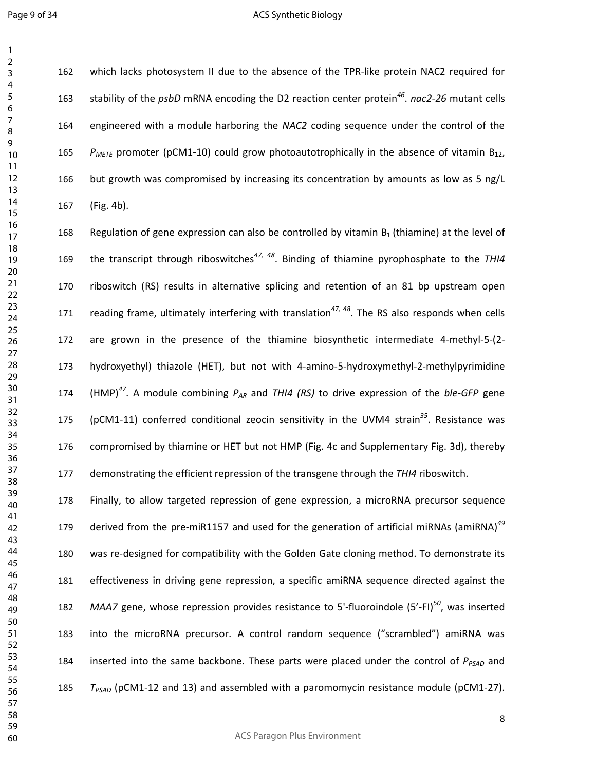#### ACS Synthetic Biology

which lacks photosystem II due to the absence of the TPR-like protein NAC2 required for 163 stability of the *psbD* mRNA encoding the D2 reaction center protein<sup>46</sup> *nac2-26* mutant cells engineered with a module harboring the *NAC2* coding sequence under the control of the *P<sub>METE</sub>* promoter (pCM1-10) could grow photoautotrophically in the absence of vitamin B<sub>12</sub>, but growth was compromised by increasing its concentration by amounts as low as 5 ng/L (Fig. 4b).

168 Regulation of gene expression can also be controlled by vitamin  $B_1$  (thiamine) at the level of 169 the transcript through riboswitches<sup>47, 48</sup>. Binding of thiamine pyrophosphate to the *THI4* riboswitch (RS) results in alternative splicing and retention of an 81 bp upstream open 171 reading frame, ultimately interfering with translation<sup>47, 48</sup>. The RS also responds when cells are grown in the presence of the thiamine biosynthetic intermediate 4-methyl-5-(2- hydroxyethyl) thiazole (HET), but not with 4-amino-5-hydroxymethyl-2-methylpyrimidine (HMP)*<sup>47</sup>* . A module combining *PAR* and *THI4 (RS)* to drive expression of the *ble-GFP* gene 175 (pCM1-11) conferred conditional zeocin sensitivity in the UVM4 strain<sup>35</sup>. Resistance was compromised by thiamine or HET but not HMP (Fig. 4c and Supplementary Fig. 3d), thereby demonstrating the efficient repression of the transgene through the *THI4* riboswitch.

Finally, to allow targeted repression of gene expression, a microRNA precursor sequence 179 derived from the pre-miR1157 and used for the generation of artificial miRNAs (amiRNA)<sup>49</sup> was re-designed for compatibility with the Golden Gate cloning method. To demonstrate its effectiveness in driving gene repression, a specific amiRNA sequence directed against the 182 MAA7 gene, whose repression provides resistance to 5'-fluoroindole (5'-FI)<sup>50</sup>, was inserted into the microRNA precursor. A control random sequence ("scrambled") amiRNA was 184 inserted into the same backbone. These parts were placed under the control of  $P_{PSAD}$  and  $T_{PSAD}$  (pCM1-12 and 13) and assembled with a paromomycin resistance module (pCM1-27).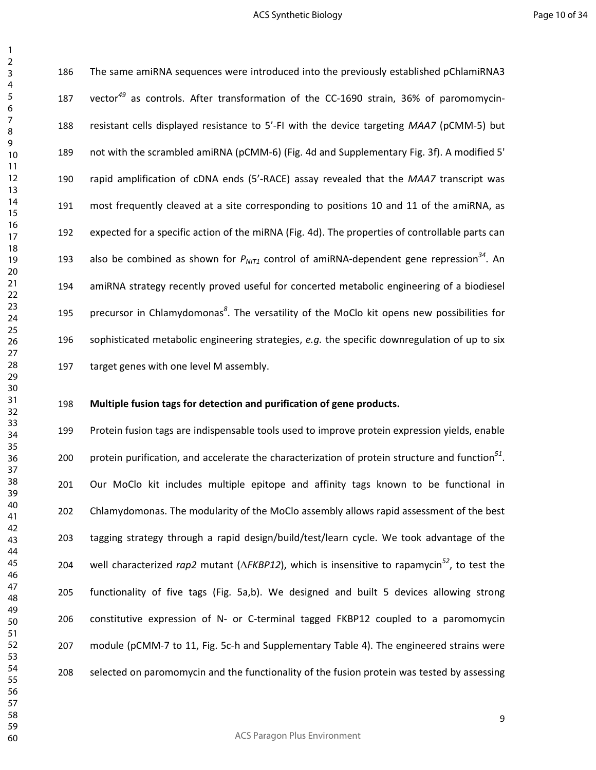The same amiRNA sequences were introduced into the previously established pChlamiRNA3 187 vector<sup>49</sup> as controls. After transformation of the CC-1690 strain, 36% of paromomycin-resistant cells displayed resistance to 5'-FI with the device targeting *MAA7* (pCMM-5) but not with the scrambled amiRNA (pCMM-6) (Fig. 4d and Supplementary Fig. 3f). A modified 5' rapid amplification of cDNA ends (5'-RACE) assay revealed that the *MAA7* transcript was most frequently cleaved at a site corresponding to positions 10 and 11 of the amiRNA, as expected for a specific action of the miRNA (Fig. 4d). The properties of controllable parts can 193 also be combined as shown for  $P_{NIT1}$  control of amiRNA-dependent gene repression<sup>34</sup>. An amiRNA strategy recently proved useful for concerted metabolic engineering of a biodiesel precursor in Chlamydomonas*<sup>8</sup>* . The versatility of the MoClo kit opens new possibilities for sophisticated metabolic engineering strategies, *e.g.* the specific downregulation of up to six target genes with one level M assembly.

#### **Multiple fusion tags for detection and purification of gene products.**

Protein fusion tags are indispensable tools used to improve protein expression yields, enable 200 protein purification, and accelerate the characterization of protein structure and function<sup>51</sup>. Our MoClo kit includes multiple epitope and affinity tags known to be functional in Chlamydomonas. The modularity of the MoClo assembly allows rapid assessment of the best tagging strategy through a rapid design/build/test/learn cycle. We took advantage of the well characterized *rap2* mutant (∆*FKBP12*), which is insensitive to rapamycin*<sup>52</sup>* , to test the functionality of five tags (Fig. 5a,b). We designed and built 5 devices allowing strong constitutive expression of N- or C-terminal tagged FKBP12 coupled to a paromomycin module (pCMM-7 to 11, Fig. 5c-h and Supplementary Table 4). The engineered strains were selected on paromomycin and the functionality of the fusion protein was tested by assessing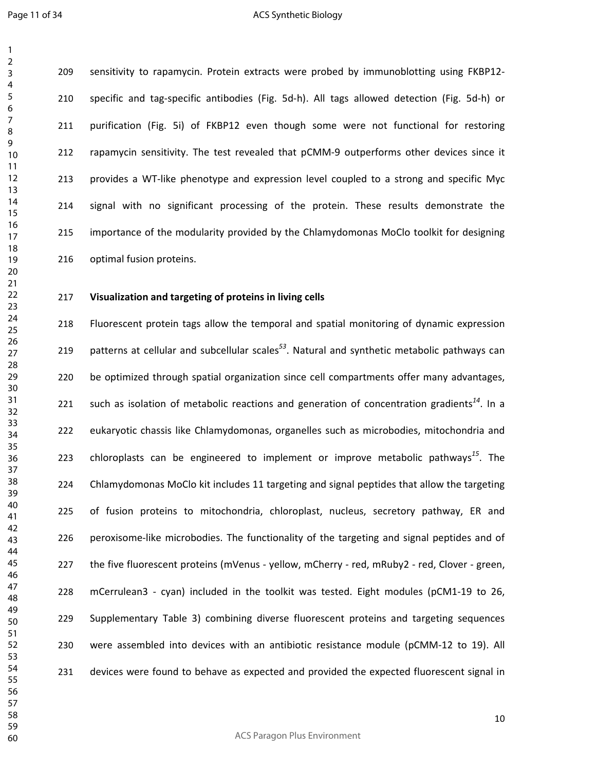#### ACS Synthetic Biology

sensitivity to rapamycin. Protein extracts were probed by immunoblotting using FKBP12- specific and tag-specific antibodies (Fig. 5d-h). All tags allowed detection (Fig. 5d-h) or purification (Fig. 5i) of FKBP12 even though some were not functional for restoring rapamycin sensitivity. The test revealed that pCMM-9 outperforms other devices since it provides a WT-like phenotype and expression level coupled to a strong and specific Myc signal with no significant processing of the protein. These results demonstrate the importance of the modularity provided by the Chlamydomonas MoClo toolkit for designing optimal fusion proteins.

#### **Visualization and targeting of proteins in living cells**

Fluorescent protein tags allow the temporal and spatial monitoring of dynamic expression 219 patterns at cellular and subcellular scales<sup>53</sup>. Natural and synthetic metabolic pathways can be optimized through spatial organization since cell compartments offer many advantages, 221 such as isolation of metabolic reactions and generation of concentration gradients<sup>14</sup>. In a eukaryotic chassis like Chlamydomonas, organelles such as microbodies, mitochondria and 223 chloroplasts can be engineered to implement or improve metabolic pathways<sup>15</sup>. The Chlamydomonas MoClo kit includes 11 targeting and signal peptides that allow the targeting of fusion proteins to mitochondria, chloroplast, nucleus, secretory pathway, ER and peroxisome-like microbodies. The functionality of the targeting and signal peptides and of 227 the five fluorescent proteins (mVenus - yellow, mCherry - red, mRuby2 - red, Clover - green, mCerrulean3 - cyan) included in the toolkit was tested. Eight modules (pCM1-19 to 26, Supplementary Table 3) combining diverse fluorescent proteins and targeting sequences were assembled into devices with an antibiotic resistance module (pCMM-12 to 19). All devices were found to behave as expected and provided the expected fluorescent signal in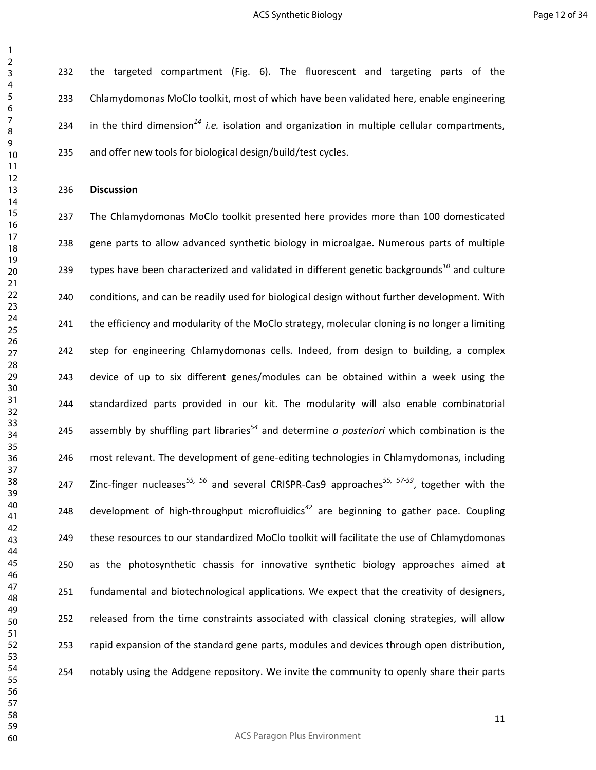the targeted compartment (Fig. 6). The fluorescent and targeting parts of the Chlamydomonas MoClo toolkit, most of which have been validated here, enable engineering in the third dimension*<sup>14</sup> i.e.* isolation and organization in multiple cellular compartments, and offer new tools for biological design/build/test cycles.

**Discussion** 

The Chlamydomonas MoClo toolkit presented here provides more than 100 domesticated gene parts to allow advanced synthetic biology in microalgae. Numerous parts of multiple 239 types have been characterized and validated in different genetic backgrounds<sup>10</sup> and culture conditions, and can be readily used for biological design without further development. With the efficiency and modularity of the MoClo strategy, molecular cloning is no longer a limiting step for engineering Chlamydomonas cells. Indeed, from design to building, a complex device of up to six different genes/modules can be obtained within a week using the standardized parts provided in our kit. The modularity will also enable combinatorial assembly by shuffling part libraries*<sup>54</sup>* and determine *a posteriori* which combination is the most relevant. The development of gene-editing technologies in Chlamydomonas, including 247 Zinc-finger nucleases<sup>55, 56</sup> and several CRISPR-Cas9 approaches<sup>55, 57-59</sup>, together with the 248 development of high-throughput microfluidics<sup>42</sup> are beginning to gather pace. Coupling these resources to our standardized MoClo toolkit will facilitate the use of Chlamydomonas as the photosynthetic chassis for innovative synthetic biology approaches aimed at fundamental and biotechnological applications. We expect that the creativity of designers, released from the time constraints associated with classical cloning strategies, will allow rapid expansion of the standard gene parts, modules and devices through open distribution, notably using the Addgene repository. We invite the community to openly share their parts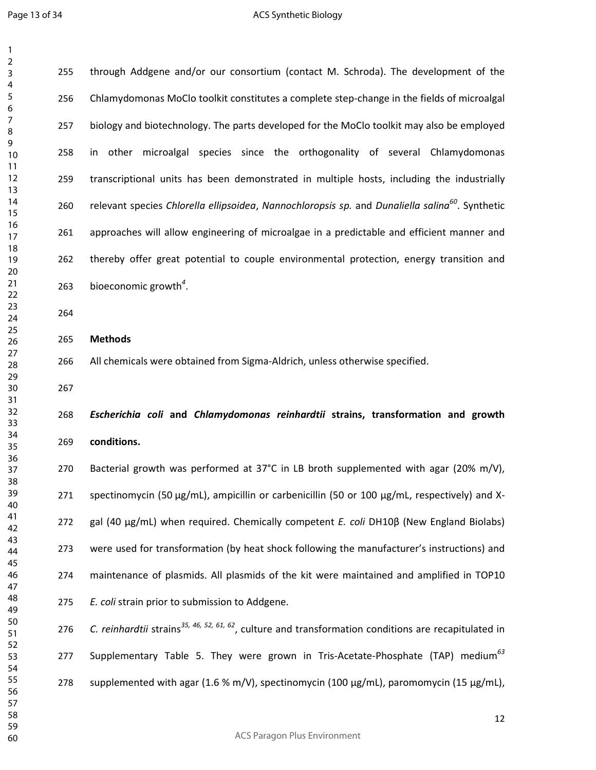| 3                            |  |
|------------------------------|--|
| 4                            |  |
| 5                            |  |
| 6                            |  |
|                              |  |
| 8                            |  |
| 9                            |  |
|                              |  |
| 10                           |  |
| 1<br>1                       |  |
| $\overline{\mathbf{c}}$<br>1 |  |
| $\overline{13}$              |  |
| $\frac{1}{4}$                |  |
| $\overline{15}$              |  |
| 16                           |  |
| $\frac{1}{2}$                |  |
| 18                           |  |
| $\frac{18}{19}$              |  |
| 20                           |  |
| $\overline{21}$              |  |
| $\overline{2}$<br>2          |  |
| $\frac{1}{2}$                |  |
|                              |  |
| .<br>24                      |  |
| 25                           |  |
| 26                           |  |
| $^{27}$                      |  |
| $\frac{28}{10}$              |  |
| 29                           |  |
| 30                           |  |
| 31                           |  |
| $\overline{\mathbf{3}}$<br>2 |  |
| 33                           |  |
| 34                           |  |
| 35                           |  |
| 36                           |  |
|                              |  |
| 37                           |  |
| 38                           |  |
| 39                           |  |
| 41                           |  |
| 41                           |  |
| 42                           |  |
| 43                           |  |
| 44                           |  |
| 45                           |  |
| 46                           |  |
| 47                           |  |
| 48                           |  |
| 49                           |  |
| 50                           |  |
| 51                           |  |
| 52<br>$\overline{ }$         |  |
|                              |  |
| 53                           |  |
| 54                           |  |
| 55                           |  |
| 56                           |  |
| 57                           |  |
| 58                           |  |
| 59                           |  |
| 60                           |  |

through Addgene and/or our consortium (contact M. Schroda). The development of the Chlamydomonas MoClo toolkit constitutes a complete step-change in the fields of microalgal biology and biotechnology. The parts developed for the MoClo toolkit may also be employed in other microalgal species since the orthogonality of several Chlamydomonas transcriptional units has been demonstrated in multiple hosts, including the industrially relevant species *Chlorella ellipsoidea*, *Nannochloropsis sp.* and *Dunaliella salina<sup>60</sup>* . Synthetic approaches will allow engineering of microalgae in a predictable and efficient manner and thereby offer great potential to couple environmental protection, energy transition and bioeconomic growth*<sup>4</sup>* .

**Methods** 

All chemicals were obtained from Sigma-Aldrich, unless otherwise specified.

# *Escherichia coli* **and** *Chlamydomonas reinhardtii* **strains, transformation and growth conditions.**

Bacterial growth was performed at 37°C in LB broth supplemented with agar (20% m/V), spectinomycin (50 μg/mL), ampicillin or carbenicillin (50 or 100 μg/mL, respectively) and X-gal (40 µg/mL) when required. Chemically competent *E. coli* DH10β (New England Biolabs) were used for transformation (by heat shock following the manufacturer's instructions) and maintenance of plasmids. All plasmids of the kit were maintained and amplified in TOP10 *E. coli* strain prior to submission to Addgene.

276 *C. reinhardtii* strains<sup>35, 46, 52, 61, 62, culture and transformation conditions are recapitulated in</sup> Supplementary Table 5. They were grown in Tris-Acetate-Phosphate (TAP) medium*<sup>63</sup>* 278 supplemented with agar  $(1.6 % m/V)$ , spectinomycin  $(100 \mu g/mL)$ , paromomycin  $(15 \mu g/mL)$ ,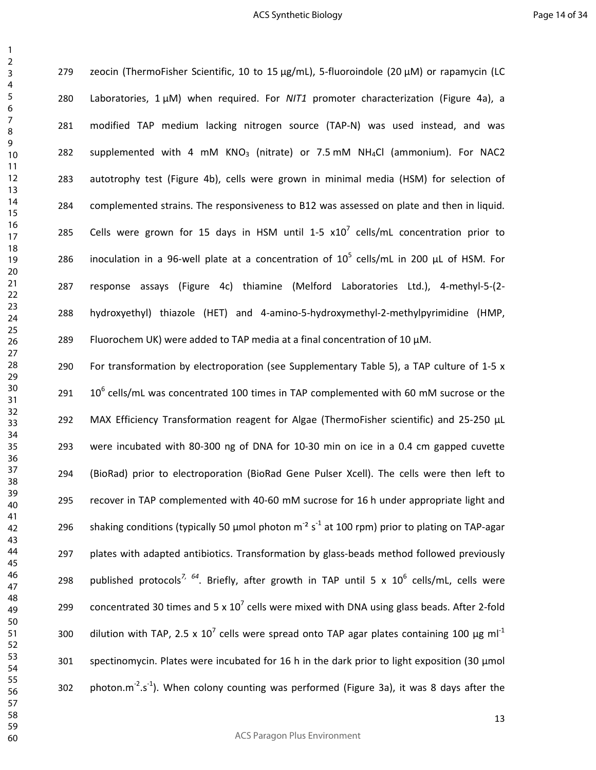zeocin (ThermoFisher Scientific, 10 to 15 µg/mL), 5-fluoroindole (20 µM) or rapamycin (LC

 

Laboratories, 1 µM) when required. For *NIT1* promoter characterization (Figure 4a), a modified TAP medium lacking nitrogen source (TAP-N) was used instead, and was 282 supplemented with 4 mM KNO<sub>3</sub> (nitrate) or 7.5 mM NH<sub>4</sub>Cl (ammonium). For NAC2 autotrophy test (Figure 4b), cells were grown in minimal media (HSM) for selection of complemented strains. The responsiveness to B12 was assessed on plate and then in liquid. 285 Cells were grown for 15 days in HSM until 1-5  $\times 10^7$  cells/mL concentration prior to 286 inoculation in a 96-well plate at a concentration of  $10^5$  cells/mL in 200  $\mu$ L of HSM. For response assays (Figure 4c) thiamine (Melford Laboratories Ltd.), 4-methyl-5-(2- hydroxyethyl) thiazole (HET) and 4-amino-5-hydroxymethyl-2-methylpyrimidine (HMP, Fluorochem UK) were added to TAP media at a final concentration of 10 µM. 290 For transformation by electroporation (see Supplementary Table 5), a TAP culture of 1-5  $x$ 291  $-10^6$  cells/mL was concentrated 100 times in TAP complemented with 60 mM sucrose or the MAX Efficiency Transformation reagent for Algae (ThermoFisher scientific) and 25-250 µL were incubated with 80-300 ng of DNA for 10-30 min on ice in a 0.4 cm gapped cuvette (BioRad) prior to electroporation (BioRad Gene Pulser Xcell). The cells were then left to recover in TAP complemented with 40-60 mM sucrose for 16 h under appropriate light and 296 Shaking conditions (typically 50  $\mu$ mol photon m<sup>-2</sup> s<sup>-1</sup> at 100 rpm) prior to plating on TAP-agar plates with adapted antibiotics. Transformation by glass-beads method followed previously 298 published protocols<sup>7, 64</sup>. Briefly, after growth in TAP until 5 x 10<sup>6</sup> cells/mL, cells were 299 concentrated 30 times and 5 x  $10^7$  cells were mixed with DNA using glass beads. After 2-fold 300 dilution with TAP, 2.5 x 10<sup>7</sup> cells were spread onto TAP agar plates containing 100  $\mu$ g ml<sup>-1</sup> spectinomycin. Plates were incubated for 16 h in the dark prior to light exposition (30 µmol 302 photon.m<sup>-2</sup>.s<sup>-1</sup>). When colony counting was performed (Figure 3a), it was 8 days after the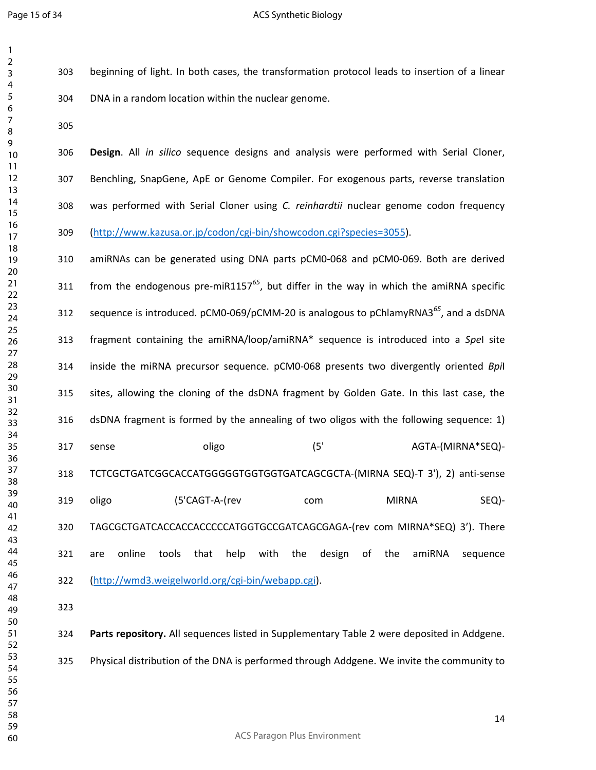#### ACS Synthetic Biology

beginning of light. In both cases, the transformation protocol leads to insertion of a linear DNA in a random location within the nuclear genome.

**Design**. All *in silico* sequence designs and analysis were performed with Serial Cloner, Benchling, SnapGene, ApE or Genome Compiler. For exogenous parts, reverse translation was performed with Serial Cloner using *C. reinhardtii* nuclear genome codon frequency (http://www.kazusa.or.jp/codon/cgi-bin/showcodon.cgi?species=3055).

amiRNAs can be generated using DNA parts pCM0-068 and pCM0-069. Both are derived 311 from the endogenous pre-miR1157 $^{65}$ , but differ in the way in which the amiRNA specific sequence is introduced. pCM0-069/pCMM-20 is analogous to pChlamyRNA3<sup>65</sup>, and a dsDNA fragment containing the amiRNA/loop/amiRNA\* sequence is introduced into a *Spe*I site inside the miRNA precursor sequence. pCM0-068 presents two divergently oriented *Bpi*I sites, allowing the cloning of the dsDNA fragment by Golden Gate. In this last case, the dsDNA fragment is formed by the annealing of two oligos with the following sequence: 1) sense oligo (5' AGTA-(MIRNA\*SEQ)- TCTCGCTGATCGGCACCATGGGGGTGGTGGTGATCAGCGCTA-(MIRNA SEQ)-T 3'), 2) anti-sense oligo (5'CAGT-A-(rev com MIRNA SEQ)- TAGCGCTGATCACCACCACCCCCATGGTGCCGATCAGCGAGA-(rev com MIRNA\*SEQ) 3'). There are online tools that help with the design of the amiRNA sequence (http://wmd3.weigelworld.org/cgi-bin/webapp.cgi).

**Parts repository.** All sequences listed in Supplementary Table 2 were deposited in Addgene. Physical distribution of the DNA is performed through Addgene. We invite the community to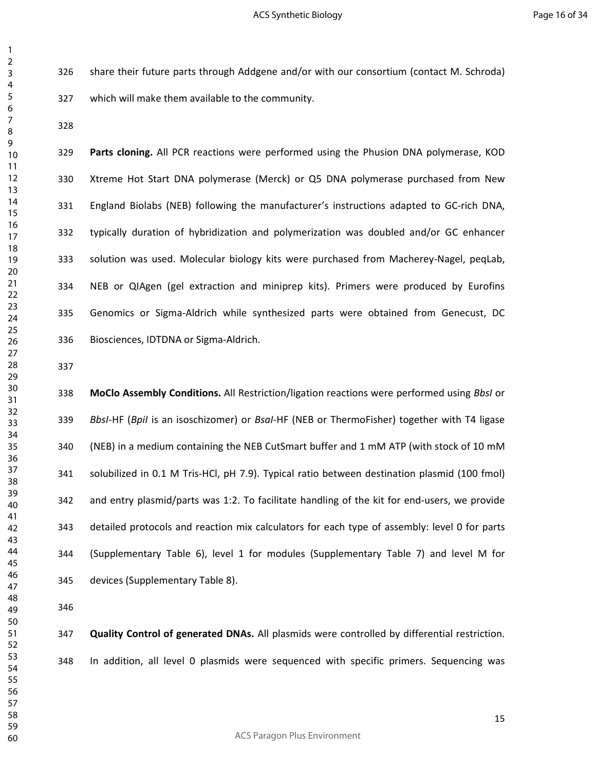share their future parts through Addgene and/or with our consortium (contact M. Schroda) which will make them available to the community.

**Parts cloning.** All PCR reactions were performed using the Phusion DNA polymerase, KOD Xtreme Hot Start DNA polymerase (Merck) or Q5 DNA polymerase purchased from New England Biolabs (NEB) following the manufacturer's instructions adapted to GC-rich DNA, typically duration of hybridization and polymerization was doubled and/or GC enhancer solution was used. Molecular biology kits were purchased from Macherey-Nagel, peqLab, NEB or QIAgen (gel extraction and miniprep kits). Primers were produced by Eurofins Genomics or Sigma-Aldrich while synthesized parts were obtained from Genecust, DC Biosciences, IDTDNA or Sigma-Aldrich.

**MoClo Assembly Conditions.** All Restriction/ligation reactions were performed using *BbsI* or *BbsI*-HF (*BpiI* is an isoschizomer) or *BsaI*-HF (NEB or ThermoFisher) together with T4 ligase (NEB) in a medium containing the NEB CutSmart buffer and 1 mM ATP (with stock of 10 mM solubilized in 0.1 M Tris-HCl, pH 7.9). Typical ratio between destination plasmid (100 fmol) and entry plasmid/parts was 1:2. To facilitate handling of the kit for end-users, we provide detailed protocols and reaction mix calculators for each type of assembly: level 0 for parts (Supplementary Table 6), level 1 for modules (Supplementary Table 7) and level M for devices (Supplementary Table 8).

**Quality Control of generated DNAs.** All plasmids were controlled by differential restriction. In addition, all level 0 plasmids were sequenced with specific primers. Sequencing was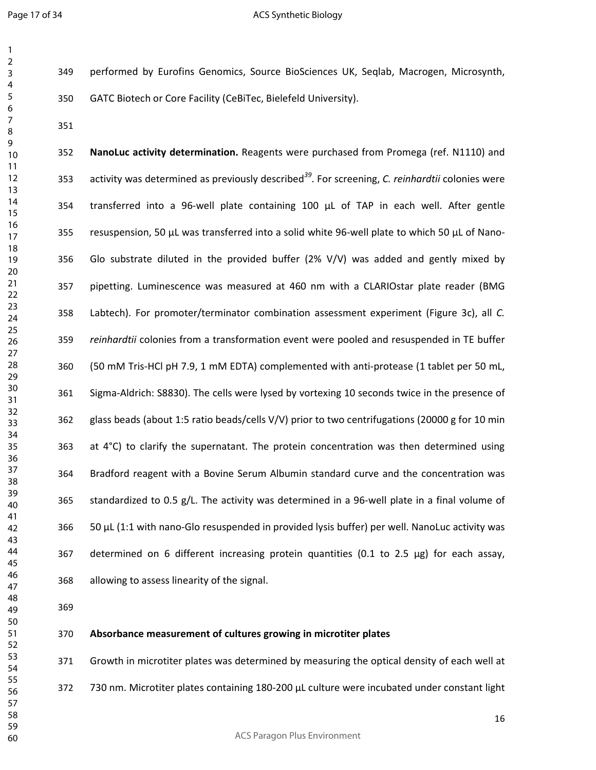#### ACS Synthetic Biology

performed by Eurofins Genomics, Source BioSciences UK, Seqlab, Macrogen, Microsynth, GATC Biotech or Core Facility (CeBiTec, Bielefeld University).

**NanoLuc activity determination.** Reagents were purchased from Promega (ref. N1110) and activity was determined as previously described*<sup>39</sup>* . For screening, *C. reinhardtii* colonies were transferred into a 96-well plate containing 100 µL of TAP in each well. After gentle resuspension, 50 µL was transferred into a solid white 96-well plate to which 50 µL of Nano-356 Glo substrate diluted in the provided buffer  $(2\% V/V)$  was added and gently mixed by pipetting. Luminescence was measured at 460 nm with a CLARIOstar plate reader (BMG Labtech). For promoter/terminator combination assessment experiment (Figure 3c), all *C. reinhardtii* colonies from a transformation event were pooled and resuspended in TE buffer (50 mM Tris-HCl pH 7.9, 1 mM EDTA) complemented with anti-protease (1 tablet per 50 mL, Sigma-Aldrich: S8830). The cells were lysed by vortexing 10 seconds twice in the presence of glass beads (about 1:5 ratio beads/cells V/V) prior to two centrifugations (20000 g for 10 min at 4°C) to clarify the supernatant. The protein concentration was then determined using Bradford reagent with a Bovine Serum Albumin standard curve and the concentration was 365 standardized to 0.5 g/L. The activity was determined in a 96-well plate in a final volume of 50 µL (1:1 with nano-Glo resuspended in provided lysis buffer) per well. NanoLuc activity was determined on 6 different increasing protein quantities (0.1 to 2.5 µg) for each assay, allowing to assess linearity of the signal.

**Absorbance measurement of cultures growing in microtiter plates** 

Growth in microtiter plates was determined by measuring the optical density of each well at 730 nm. Microtiter plates containing 180-200 μL culture were incubated under constant light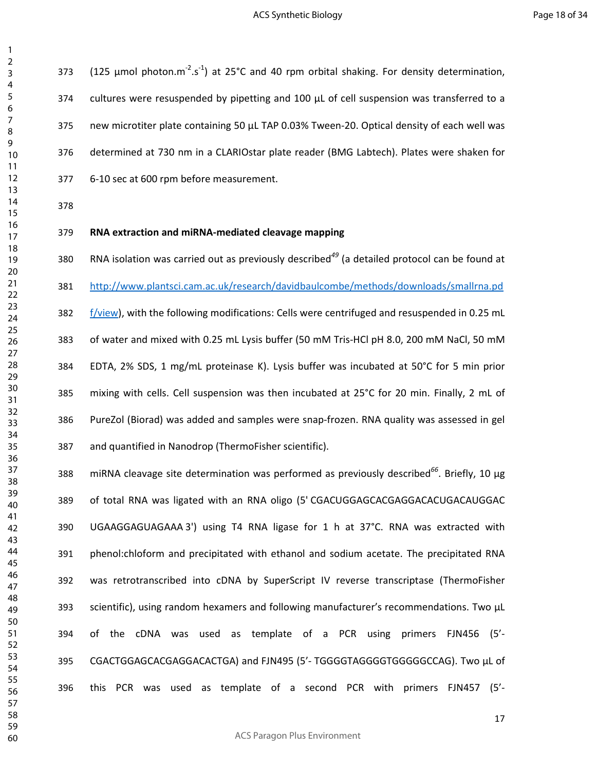373 (125  $\mu$ mol photon.m<sup>-2</sup>.s<sup>-1</sup>) at 25°C and 40 rpm orbital shaking. For density determination, cultures were resuspended by pipetting and 100 µL of cell suspension was transferred to a 375 new microtiter plate containing 50 µL TAP 0.03% Tween-20. Optical density of each well was determined at 730 nm in a CLARIOstar plate reader (BMG Labtech). Plates were shaken for 6-10 sec at 600 rpm before measurement.

 

**RNA extraction and miRNA-mediated cleavage mapping** 

380 RNA isolation was carried out as previously described<sup>49</sup> (a detailed protocol can be found at http://www.plantsci.cam.ac.uk/research/davidbaulcombe/methods/downloads/smallrna.pd f/view), with the following modifications: Cells were centrifuged and resuspended in 0.25 mL of water and mixed with 0.25 mL Lysis buffer (50 mM Tris-HCl pH 8.0, 200 mM NaCl, 50 mM EDTA, 2% SDS, 1 mg/mL proteinase K). Lysis buffer was incubated at 50°C for 5 min prior mixing with cells. Cell suspension was then incubated at 25°C for 20 min. Finally, 2 mL of PureZol (Biorad) was added and samples were snap-frozen. RNA quality was assessed in gel and quantified in Nanodrop (ThermoFisher scientific).

ab 388 miRNA cleavage site determination was performed as previously described<sup>66</sup>. Briefly, 10 μg of total RNA was ligated with an RNA oligo (5' CGACUGGAGCACGAGGACACUGACAUGGAC UGAAGGAGUAGAAA 3') using T4 RNA ligase for 1 h at 37°C. RNA was extracted with phenol:chloform and precipitated with ethanol and sodium acetate. The precipitated RNA was retrotranscribed into cDNA by SuperScript IV reverse transcriptase (ThermoFisher scientific), using random hexamers and following manufacturer's recommendations. Two µL of the cDNA was used as template of a PCR using primers FJN456 (5'- 395 CGACTGGAGCACGAGGACACTGA) and FJN495 (5'- TGGGGTAGGGGTGGGGCCAG). Two µL of this PCR was used as template of a second PCR with primers FJN457 (5'-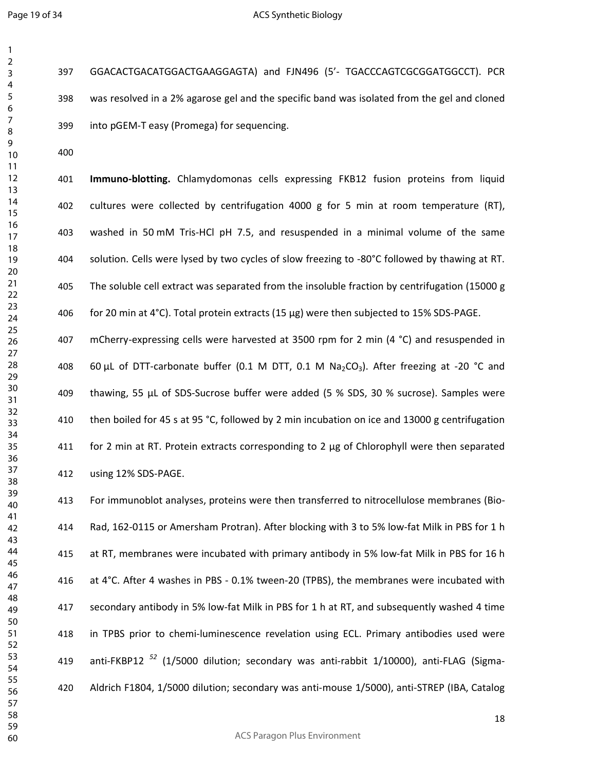#### ACS Synthetic Biology

GGACACTGACATGGACTGAAGGAGTA) and FJN496 (5'- TGACCCAGTCGCGGATGGCCT). PCR was resolved in a 2% agarose gel and the specific band was isolated from the gel and cloned into pGEM-T easy (Promega) for sequencing.

**Immuno-blotting.** Chlamydomonas cells expressing FKB12 fusion proteins from liquid cultures were collected by centrifugation 4000 g for 5 min at room temperature (RT), washed in 50 mM Tris-HCl pH 7.5, and resuspended in a minimal volume of the same solution. Cells were lysed by two cycles of slow freezing to -80°C followed by thawing at RT. The soluble cell extract was separated from the insoluble fraction by centrifugation (15000 g for 20 min at 4°C). Total protein extracts (15 µg) were then subjected to 15% SDS-PAGE.

mCherry-expressing cells were harvested at 3500 rpm for 2 min (4 °C) and resuspended in 408 60 µL of DTT-carbonate buffer (0.1 M DTT, 0.1 M Na<sub>2</sub>CO<sub>3</sub>). After freezing at -20 °C and thawing, 55 µL of SDS-Sucrose buffer were added (5 % SDS, 30 % sucrose). Samples were then boiled for 45 s at 95 °C, followed by 2 min incubation on ice and 13000 g centrifugation for 2 min at RT. Protein extracts corresponding to 2 µg of Chlorophyll were then separated using 12% SDS-PAGE.

For immunoblot analyses, proteins were then transferred to nitrocellulose membranes (Bio-Rad, 162-0115 or Amersham Protran). After blocking with 3 to 5% low-fat Milk in PBS for 1 h at RT, membranes were incubated with primary antibody in 5% low-fat Milk in PBS for 16 h at 4°C. After 4 washes in PBS - 0.1% tween-20 (TPBS), the membranes were incubated with secondary antibody in 5% low-fat Milk in PBS for 1 h at RT, and subsequently washed 4 time in TPBS prior to chemi-luminescence revelation using ECL. Primary antibodies used were anti-FKBP12 *<sup>52</sup>* (1/5000 dilution; secondary was anti-rabbit 1/10000), anti-FLAG (Sigma-Aldrich F1804, 1/5000 dilution; secondary was anti-mouse 1/5000), anti-STREP (IBA, Catalog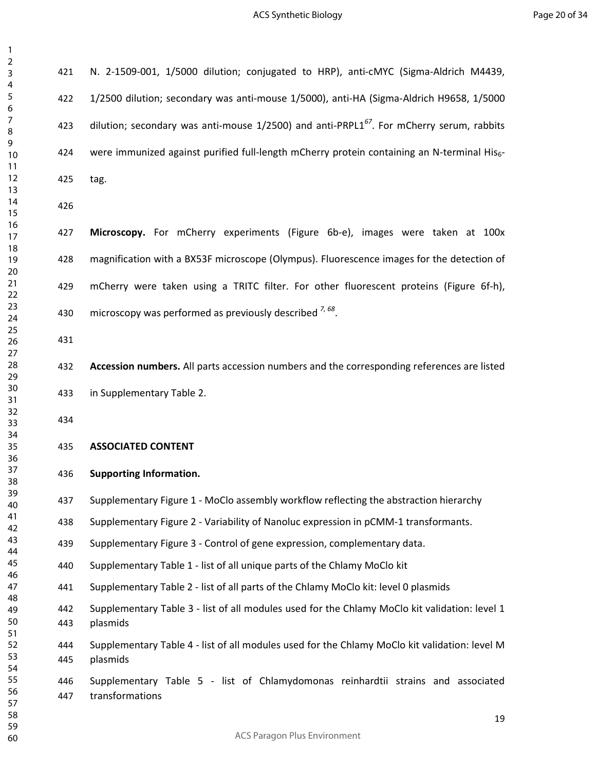ACS Synthetic Biology

| $\overline{\phantom{a}}$     |  |
|------------------------------|--|
| 3                            |  |
| 4                            |  |
| 5                            |  |
| 6                            |  |
| 7                            |  |
| 8                            |  |
| 9                            |  |
| $\overline{10}$              |  |
| $\overline{11}$              |  |
| $\overline{\mathbf{c}}$<br>1 |  |
| 13                           |  |
| $\overline{14}$              |  |
| 15                           |  |
| 16                           |  |
| $\overline{17}$              |  |
| 18                           |  |
| 19                           |  |
| 20                           |  |
| $\overline{21}$              |  |
| $\overline{22}$              |  |
| 23<br>24                     |  |
| 25                           |  |
| 26                           |  |
| 27                           |  |
| 28                           |  |
| 29                           |  |
| 30                           |  |
| 31                           |  |
| 32                           |  |
| 33                           |  |
| 34                           |  |
| 35                           |  |
| 36                           |  |
| 37                           |  |
| 38                           |  |
| 39                           |  |
| 40                           |  |
| 41                           |  |
| 42                           |  |
| 43                           |  |
| 44                           |  |
| 45                           |  |
| 46                           |  |
| 47                           |  |
| 48                           |  |
| 49                           |  |
| 50                           |  |
| 51                           |  |
| 52                           |  |
| 53                           |  |
| 54                           |  |
| 55                           |  |
| 56                           |  |
| 57                           |  |
| 58                           |  |
| 59                           |  |

  $\overline{\phantom{0}}$ 

N. 2-1509-001, 1/5000 dilution; conjugated to HRP), anti-cMYC (Sigma-Aldrich M4439, 1/2500 dilution; secondary was anti-mouse 1/5000), anti-HA (Sigma-Aldrich H9658, 1/5000 423 dilution; secondary was anti-mouse 1/2500) and anti-PRPL1<sup>67</sup>. For mCherry serum, rabbits 424 were immunized against purified full-length mCherry protein containing an N-terminal His $<sub>6</sub>$ -</sub> tag. **Microscopy.** For mCherry experiments (Figure 6b-e), images were taken at 100x magnification with a BX53F microscope (Olympus). Fluorescence images for the detection of mCherry were taken using a TRITC filter. For other fluorescent proteins (Figure 6f-h), 430 microscopy was performed as previously described <sup>7, 68</sup>. **Accession numbers.** All parts accession numbers and the corresponding references are listed in Supplementary Table 2. **ASSOCIATED CONTENT Supporting Information.**  Supplementary Figure 1 - MoClo assembly workflow reflecting the abstraction hierarchy Supplementary Figure 2 - Variability of Nanoluc expression in pCMM-1 transformants. Supplementary Figure 3 - Control of gene expression, complementary data. Supplementary Table 1 - list of all unique parts of the Chlamy MoClo kit Supplementary Table 2 - list of all parts of the Chlamy MoClo kit: level 0 plasmids Supplementary Table 3 - list of all modules used for the Chlamy MoClo kit validation: level 1 plasmids Supplementary Table 4 - list of all modules used for the Chlamy MoClo kit validation: level M plasmids Supplementary Table 5 - list of Chlamydomonas reinhardtii strains and associated transformations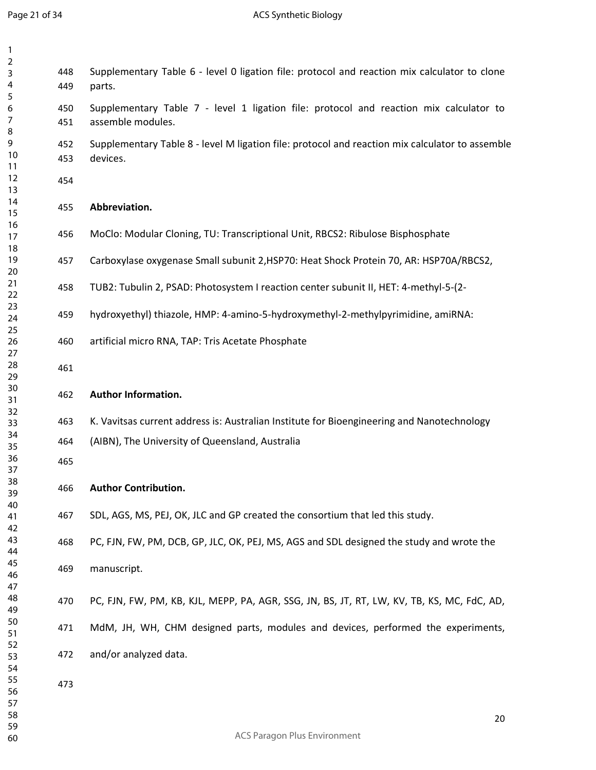| $\overline{ }$<br>3<br>4<br>5 | 448<br>449 | Supplementary Table 6 - level 0 ligation file: protocol and reaction mix calculator to clone<br>parts.      |  |
|-------------------------------|------------|-------------------------------------------------------------------------------------------------------------|--|
| 6<br>7<br>8                   | 450<br>451 | Supplementary Table 7 - level 1 ligation file: protocol and reaction mix calculator to<br>assemble modules. |  |
| 9<br>10                       | 452<br>453 | Supplementary Table 8 - level M ligation file: protocol and reaction mix calculator to assemble<br>devices. |  |
| 11<br>12<br>13                | 454        |                                                                                                             |  |
| 14<br>15                      | 455        | Abbreviation.                                                                                               |  |
| 16<br>17<br>18                | 456        | MoClo: Modular Cloning, TU: Transcriptional Unit, RBCS2: Ribulose Bisphosphate                              |  |
| 19<br>20                      | 457        | Carboxylase oxygenase Small subunit 2, HSP70: Heat Shock Protein 70, AR: HSP70A/RBCS2,                      |  |
| 21<br>22                      | 458        | TUB2: Tubulin 2, PSAD: Photosystem I reaction center subunit II, HET: 4-methyl-5-(2-                        |  |
| 23<br>24                      | 459        | hydroxyethyl) thiazole, HMP: 4-amino-5-hydroxymethyl-2-methylpyrimidine, amiRNA:                            |  |
| 25<br>26<br>27                | 460        | artificial micro RNA, TAP: Tris Acetate Phosphate                                                           |  |
| 28<br>29                      | 461        |                                                                                                             |  |
| 30<br>31                      | 462        | Author Information.                                                                                         |  |
| 32<br>33                      | 463        | K. Vavitsas current address is: Australian Institute for Bioengineering and Nanotechnology                  |  |
| 34<br>35                      | 464        | (AIBN), The University of Queensland, Australia                                                             |  |
| 36<br>37                      | 465        |                                                                                                             |  |
| 38<br>39                      | 466        | <b>Author Contribution.</b>                                                                                 |  |
| 40<br>41<br>42                | 467        | SDL, AGS, MS, PEJ, OK, JLC and GP created the consortium that led this study.                               |  |
| 43<br>44                      | 468        | PC, FJN, FW, PM, DCB, GP, JLC, OK, PEJ, MS, AGS and SDL designed the study and wrote the                    |  |
| 45<br>46<br>47                | 469        | manuscript.                                                                                                 |  |
| 48<br>49                      | 470        | PC, FJN, FW, PM, KB, KJL, MEPP, PA, AGR, SSG, JN, BS, JT, RT, LW, KV, TB, KS, MC, FdC, AD,                  |  |
| 50<br>51                      | 471        | MdM, JH, WH, CHM designed parts, modules and devices, performed the experiments,                            |  |
| 52<br>53<br>54                | 472        | and/or analyzed data.                                                                                       |  |
| 55<br>56<br>57<br>58<br>59    | 473        | 20                                                                                                          |  |

ACS Paragon Plus Environment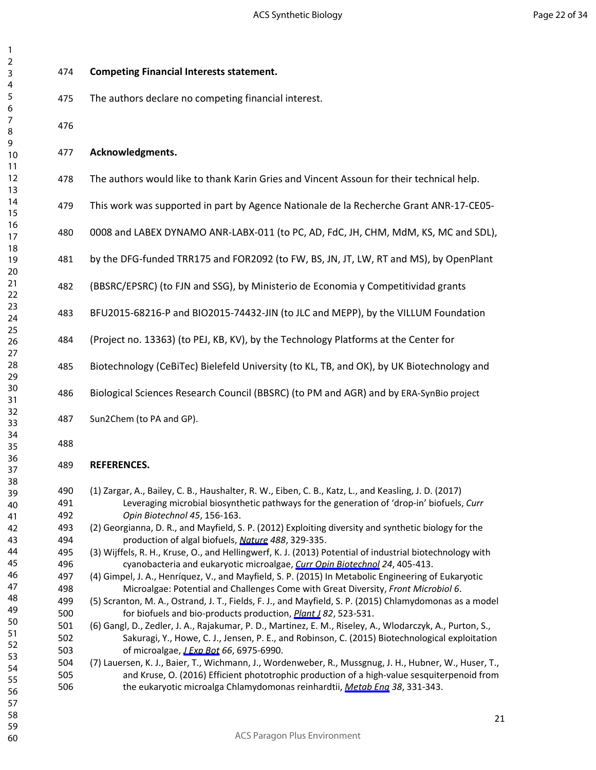| $\overline{\mathbf{c}}$<br>3 | 474        | <b>Competing Financial Interests statement.</b>                                                                                                                                        |
|------------------------------|------------|----------------------------------------------------------------------------------------------------------------------------------------------------------------------------------------|
| 4<br>5                       | 475        | The authors declare no competing financial interest.                                                                                                                                   |
| 6                            |            |                                                                                                                                                                                        |
| 7<br>8                       | 476        |                                                                                                                                                                                        |
| 9<br>10                      | 477        | Acknowledgments.                                                                                                                                                                       |
| 11<br>12                     | 478        | The authors would like to thank Karin Gries and Vincent Assoun for their technical help.                                                                                               |
| 13<br>14<br>15               | 479        | This work was supported in part by Agence Nationale de la Recherche Grant ANR-17-CE05-                                                                                                 |
| 16                           |            |                                                                                                                                                                                        |
| 17                           | 480        | 0008 and LABEX DYNAMO ANR-LABX-011 (to PC, AD, FdC, JH, CHM, MdM, KS, MC and SDL),                                                                                                     |
| 18<br>19<br>20               | 481        | by the DFG-funded TRR175 and FOR2092 (to FW, BS, JN, JT, LW, RT and MS), by OpenPlant                                                                                                  |
| 21<br>22                     | 482        | (BBSRC/EPSRC) (to FJN and SSG), by Ministerio de Economia y Competitividad grants                                                                                                      |
| 23<br>24                     | 483        | BFU2015-68216-P and BIO2015-74432-JIN (to JLC and MEPP), by the VILLUM Foundation                                                                                                      |
| 25<br>26                     | 484        | (Project no. 13363) (to PEJ, KB, KV), by the Technology Platforms at the Center for                                                                                                    |
| 27<br>28<br>29               | 485        | Biotechnology (CeBiTec) Bielefeld University (to KL, TB, and OK), by UK Biotechnology and                                                                                              |
| 30<br>31                     | 486        | Biological Sciences Research Council (BBSRC) (to PM and AGR) and by ERA-SynBio project                                                                                                 |
| 32                           | 487        | Sun2Chem (to PA and GP).                                                                                                                                                               |
| 33<br>34                     |            |                                                                                                                                                                                        |
| 35                           | 488        |                                                                                                                                                                                        |
| 36<br>37                     | 489        | <b>REFERENCES.</b>                                                                                                                                                                     |
| 38                           |            |                                                                                                                                                                                        |
| 39                           | 490        | (1) Zargar, A., Bailey, C. B., Haushalter, R. W., Eiben, C. B., Katz, L., and Keasling, J. D. (2017)                                                                                   |
| 40                           | 491        | Leveraging microbial biosynthetic pathways for the generation of 'drop-in' biofuels, Curr                                                                                              |
| 41                           | 492        | Opin Biotechnol 45, 156-163.                                                                                                                                                           |
| 42                           | 493        | (2) Georgianna, D. R., and Mayfield, S. P. (2012) Exploiting diversity and synthetic biology for the                                                                                   |
| 43<br>44                     | 494        | production of algal biofuels, Nature 488, 329-335.                                                                                                                                     |
| 45                           | 495<br>496 | (3) Wijffels, R. H., Kruse, O., and Hellingwerf, K. J. (2013) Potential of industrial biotechnology with<br>cyanobacteria and eukaryotic microalgae, Curr Opin Biotechnol 24, 405-413. |
| 46                           | 497        | (4) Gimpel, J. A., Henríquez, V., and Mayfield, S. P. (2015) In Metabolic Engineering of Eukaryotic                                                                                    |
| 47                           | 498        | Microalgae: Potential and Challenges Come with Great Diversity, Front Microbiol 6.                                                                                                     |
| 48                           | 499        | (5) Scranton, M. A., Ostrand, J. T., Fields, F. J., and Mayfield, S. P. (2015) Chlamydomonas as a model                                                                                |
| 49                           | 500        | for biofuels and bio-products production, <i>Plant J 82</i> , 523-531.                                                                                                                 |
| 50                           | 501        | (6) Gangl, D., Zedler, J. A., Rajakumar, P. D., Martinez, E. M., Riseley, A., Wlodarczyk, A., Purton, S.,                                                                              |
| 51                           | 502        | Sakuragi, Y., Howe, C. J., Jensen, P. E., and Robinson, C. (2015) Biotechnological exploitation                                                                                        |
| 52                           | 503        | of microalgae, <i>J Exp Bot 66</i> , 6975-6990.                                                                                                                                        |
| 53                           | 504        | (7) Lauersen, K. J., Baier, T., Wichmann, J., Wordenweber, R., Mussgnug, J. H., Hubner, W., Huser, T.,                                                                                 |
| 54<br>55                     | 505        | and Kruse, O. (2016) Efficient phototrophic production of a high-value sesquiterpenoid from                                                                                            |
| 56                           | 506        | the eukaryotic microalga Chlamydomonas reinhardtii, Metab Eng 38, 331-343.                                                                                                             |
| 57                           |            |                                                                                                                                                                                        |
| 58                           |            | 2                                                                                                                                                                                      |
| 59                           |            |                                                                                                                                                                                        |
| 60                           |            | <b>ACS Paragon Plus Environment</b>                                                                                                                                                    |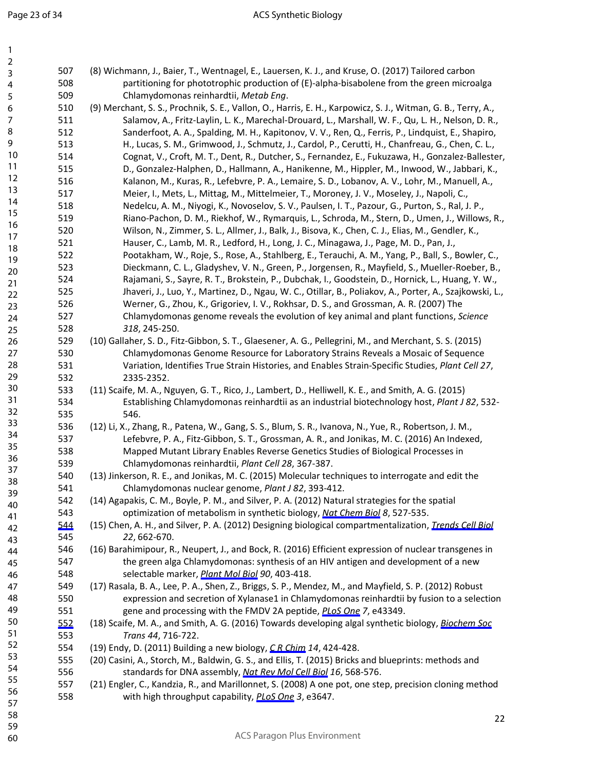| $\overline{2}$          |     |                                                                                                               |
|-------------------------|-----|---------------------------------------------------------------------------------------------------------------|
| $\overline{3}$          | 507 | (8) Wichmann, J., Baier, T., Wentnagel, E., Lauersen, K. J., and Kruse, O. (2017) Tailored carbon             |
| $\overline{\mathbf{4}}$ | 508 | partitioning for phototrophic production of (E)-alpha-bisabolene from the green microalga                     |
| 5                       | 509 | Chlamydomonas reinhardtii, Metab Eng.                                                                         |
| 6                       | 510 | (9) Merchant, S. S., Prochnik, S. E., Vallon, O., Harris, E. H., Karpowicz, S. J., Witman, G. B., Terry, A.,  |
| $\overline{7}$          | 511 | Salamov, A., Fritz-Laylin, L. K., Marechal-Drouard, L., Marshall, W. F., Qu, L. H., Nelson, D. R.,            |
| 8                       | 512 | Sanderfoot, A. A., Spalding, M. H., Kapitonov, V. V., Ren, Q., Ferris, P., Lindquist, E., Shapiro,            |
| 9                       | 513 | H., Lucas, S. M., Grimwood, J., Schmutz, J., Cardol, P., Cerutti, H., Chanfreau, G., Chen, C. L.,             |
| 10                      | 514 | Cognat, V., Croft, M. T., Dent, R., Dutcher, S., Fernandez, E., Fukuzawa, H., Gonzalez-Ballester,             |
| 11                      | 515 | D., Gonzalez-Halphen, D., Hallmann, A., Hanikenne, M., Hippler, M., Inwood, W., Jabbari, K.,                  |
| 12                      | 516 | Kalanon, M., Kuras, R., Lefebvre, P. A., Lemaire, S. D., Lobanov, A. V., Lohr, M., Manuell, A.,               |
| 13                      | 517 | Meier, I., Mets, L., Mittag, M., Mittelmeier, T., Moroney, J. V., Moseley, J., Napoli, C.,                    |
| 14                      | 518 | Nedelcu, A. M., Niyogi, K., Novoselov, S. V., Paulsen, I. T., Pazour, G., Purton, S., Ral, J. P.,             |
| 15<br>16                | 519 | Riano-Pachon, D. M., Riekhof, W., Rymarquis, L., Schroda, M., Stern, D., Umen, J., Willows, R.,               |
| 17                      | 520 | Wilson, N., Zimmer, S. L., Allmer, J., Balk, J., Bisova, K., Chen, C. J., Elias, M., Gendler, K.,             |
| 18                      | 521 | Hauser, C., Lamb, M. R., Ledford, H., Long, J. C., Minagawa, J., Page, M. D., Pan, J.,                        |
| 19                      | 522 | Pootakham, W., Roje, S., Rose, A., Stahlberg, E., Terauchi, A. M., Yang, P., Ball, S., Bowler, C.,            |
| 20                      | 523 | Dieckmann, C. L., Gladyshev, V. N., Green, P., Jorgensen, R., Mayfield, S., Mueller-Roeber, B.,               |
| 21                      | 524 | Rajamani, S., Sayre, R. T., Brokstein, P., Dubchak, I., Goodstein, D., Hornick, L., Huang, Y. W.,             |
| 22                      | 525 | Jhaveri, J., Luo, Y., Martinez, D., Ngau, W. C., Otillar, B., Poliakov, A., Porter, A., Szajkowski, L.,       |
| 23                      | 526 | Werner, G., Zhou, K., Grigoriev, I. V., Rokhsar, D. S., and Grossman, A. R. (2007) The                        |
| 24                      | 527 | Chlamydomonas genome reveals the evolution of key animal and plant functions, Science                         |
| 25                      | 528 | 318, 245-250.                                                                                                 |
| 26                      | 529 | (10) Gallaher, S. D., Fitz-Gibbon, S. T., Glaesener, A. G., Pellegrini, M., and Merchant, S. S. (2015)        |
| 27                      | 530 | Chlamydomonas Genome Resource for Laboratory Strains Reveals a Mosaic of Sequence                             |
| 28                      | 531 | Variation, Identifies True Strain Histories, and Enables Strain-Specific Studies, Plant Cell 27,              |
| 29                      | 532 | 2335-2352.                                                                                                    |
| 30                      | 533 | (11) Scaife, M. A., Nguyen, G. T., Rico, J., Lambert, D., Helliwell, K. E., and Smith, A. G. (2015)           |
| 31                      | 534 | Establishing Chlamydomonas reinhardtii as an industrial biotechnology host, Plant J 82, 532-                  |
| 32                      | 535 | 546.                                                                                                          |
| 33                      | 536 | (12) Li, X., Zhang, R., Patena, W., Gang, S. S., Blum, S. R., Ivanova, N., Yue, R., Robertson, J. M.,         |
| 34                      | 537 | Lefebvre, P. A., Fitz-Gibbon, S. T., Grossman, A. R., and Jonikas, M. C. (2016) An Indexed,                   |
| 35                      | 538 | Mapped Mutant Library Enables Reverse Genetics Studies of Biological Processes in                             |
| 36                      | 539 | Chlamydomonas reinhardtii, Plant Cell 28, 367-387.                                                            |
| 37                      | 540 | (13) Jinkerson, R. E., and Jonikas, M. C. (2015) Molecular techniques to interrogate and edit the             |
| 38                      | 541 | Chlamydomonas nuclear genome, Plant J 82, 393-412.                                                            |
| 39                      | 542 | (14) Agapakis, C. M., Boyle, P. M., and Silver, P. A. (2012) Natural strategies for the spatial               |
| 40<br>41                | 543 | optimization of metabolism in synthetic biology, Nat Chem Biol 8, 527-535.                                    |
| 42                      | 544 | (15) Chen, A. H., and Silver, P. A. (2012) Designing biological compartmentalization, <i>Trends Cell Biol</i> |
| 43                      | 545 | 22, 662-670.                                                                                                  |
| 44                      | 546 | (16) Barahimipour, R., Neupert, J., and Bock, R. (2016) Efficient expression of nuclear transgenes in         |
| 45                      | 547 | the green alga Chlamydomonas: synthesis of an HIV antigen and development of a new                            |
| 46                      | 548 | selectable marker, <i>Plant Mol Biol</i> 90, 403-418.                                                         |
| 47                      | 549 | (17) Rasala, B. A., Lee, P. A., Shen, Z., Briggs, S. P., Mendez, M., and Mayfield, S. P. (2012) Robust        |
| 48                      | 550 | expression and secretion of Xylanase1 in Chlamydomonas reinhardtii by fusion to a selection                   |
| 49                      | 551 | gene and processing with the FMDV 2A peptide, <i>PLoS One</i> 7, e43349.                                      |
| 50                      | 552 | (18) Scaife, M. A., and Smith, A. G. (2016) Towards developing algal synthetic biology, Biochem Soc           |
| 51                      | 553 | Trans 44, 716-722.                                                                                            |
| 52                      | 554 | (19) Endy, D. (2011) Building a new biology, CR Chim 14, 424-428.                                             |
| 53                      | 555 | (20) Casini, A., Storch, M., Baldwin, G. S., and Ellis, T. (2015) Bricks and blueprints: methods and          |
| 54                      | 556 | standards for DNA assembly, Nat Rev Mol Cell Biol 16, 568-576.                                                |
| 55                      | 557 | (21) Engler, C., Kandzia, R., and Marillonnet, S. (2008) A one pot, one step, precision cloning method        |
| 56                      | 558 | with high throughput capability, <i>PLoS One</i> 3, e3647.                                                    |
| 57                      |     |                                                                                                               |
| 58                      |     | 22                                                                                                            |
| 59                      |     |                                                                                                               |
| 60                      |     | <b>ACS Paragon Plus Environment</b>                                                                           |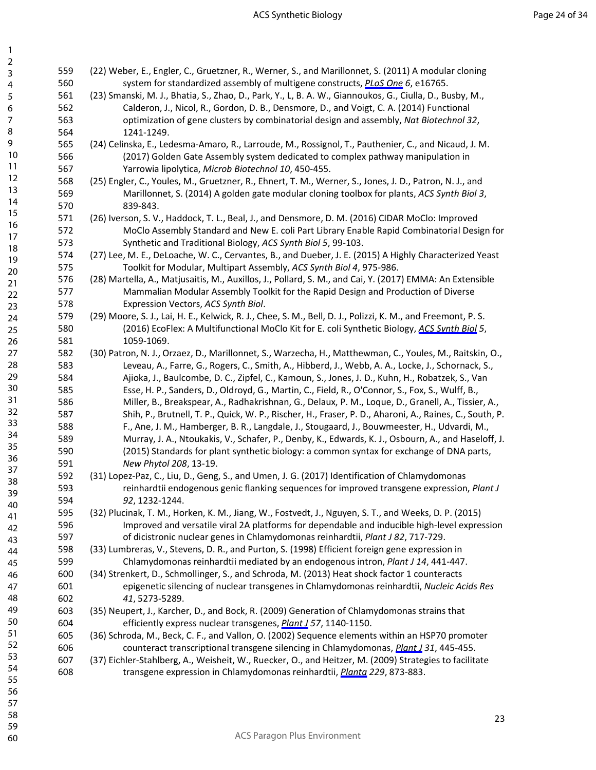| $\overline{2}$          |     |                                                                                                              |
|-------------------------|-----|--------------------------------------------------------------------------------------------------------------|
| 3                       | 559 | (22) Weber, E., Engler, C., Gruetzner, R., Werner, S., and Marillonnet, S. (2011) A modular cloning          |
| $\overline{\mathbf{4}}$ | 560 | system for standardized assembly of multigene constructs, <i>PLoS One 6</i> , e16765.                        |
| 5                       | 561 | (23) Smanski, M. J., Bhatia, S., Zhao, D., Park, Y., L, B. A. W., Giannoukos, G., Ciulla, D., Busby, M.,     |
| 6                       | 562 | Calderon, J., Nicol, R., Gordon, D. B., Densmore, D., and Voigt, C. A. (2014) Functional                     |
| $\overline{7}$          | 563 | optimization of gene clusters by combinatorial design and assembly, Nat Biotechnol 32,                       |
| 8                       | 564 | 1241-1249.                                                                                                   |
| 9                       | 565 | (24) Celinska, E., Ledesma-Amaro, R., Larroude, M., Rossignol, T., Pauthenier, C., and Nicaud, J. M.         |
| 10                      | 566 | (2017) Golden Gate Assembly system dedicated to complex pathway manipulation in                              |
| 11                      | 567 | Yarrowia lipolytica, Microb Biotechnol 10, 450-455.                                                          |
| 12                      | 568 | (25) Engler, C., Youles, M., Gruetzner, R., Ehnert, T. M., Werner, S., Jones, J. D., Patron, N. J., and      |
| 13                      | 569 | Marillonnet, S. (2014) A golden gate modular cloning toolbox for plants, ACS Synth Biol 3,                   |
| 14<br>15                | 570 | 839-843.                                                                                                     |
| 16                      | 571 | (26) Iverson, S. V., Haddock, T. L., Beal, J., and Densmore, D. M. (2016) CIDAR MoClo: Improved              |
| 17                      | 572 | MoClo Assembly Standard and New E. coli Part Library Enable Rapid Combinatorial Design for                   |
| 18                      | 573 | Synthetic and Traditional Biology, ACS Synth Biol 5, 99-103.                                                 |
| 19                      | 574 | (27) Lee, M. E., DeLoache, W. C., Cervantes, B., and Dueber, J. E. (2015) A Highly Characterized Yeast       |
| 20                      | 575 | Toolkit for Modular, Multipart Assembly, ACS Synth Biol 4, 975-986.                                          |
| 21                      | 576 | (28) Martella, A., Matjusaitis, M., Auxillos, J., Pollard, S. M., and Cai, Y. (2017) EMMA: An Extensible     |
| 22                      | 577 | Mammalian Modular Assembly Toolkit for the Rapid Design and Production of Diverse                            |
| 23                      | 578 | Expression Vectors, ACS Synth Biol.                                                                          |
| 24                      | 579 | (29) Moore, S. J., Lai, H. E., Kelwick, R. J., Chee, S. M., Bell, D. J., Polizzi, K. M., and Freemont, P. S. |
| 25                      | 580 | (2016) EcoFlex: A Multifunctional MoClo Kit for E. coli Synthetic Biology, ACS Synth Biol 5,                 |
| 26                      | 581 | 1059-1069.                                                                                                   |
| 27                      | 582 | (30) Patron, N. J., Orzaez, D., Marillonnet, S., Warzecha, H., Matthewman, C., Youles, M., Raitskin, O.,     |
| 28                      | 583 | Leveau, A., Farre, G., Rogers, C., Smith, A., Hibberd, J., Webb, A. A., Locke, J., Schornack, S.,            |
| 29                      | 584 | Ajioka, J., Baulcombe, D. C., Zipfel, C., Kamoun, S., Jones, J. D., Kuhn, H., Robatzek, S., Van              |
| 30                      | 585 | Esse, H. P., Sanders, D., Oldroyd, G., Martin, C., Field, R., O'Connor, S., Fox, S., Wulff, B.,              |
| 31                      | 586 | Miller, B., Breakspear, A., Radhakrishnan, G., Delaux, P. M., Loque, D., Granell, A., Tissier, A.,           |
| 32                      | 587 | Shih, P., Brutnell, T. P., Quick, W. P., Rischer, H., Fraser, P. D., Aharoni, A., Raines, C., South, P.      |
| 33                      | 588 | F., Ane, J. M., Hamberger, B. R., Langdale, J., Stougaard, J., Bouwmeester, H., Udvardi, M.,                 |
| 34                      | 589 | Murray, J. A., Ntoukakis, V., Schafer, P., Denby, K., Edwards, K. J., Osbourn, A., and Haseloff, J.          |
| 35<br>36                | 590 | (2015) Standards for plant synthetic biology: a common syntax for exchange of DNA parts,                     |
| 37                      | 591 | New Phytol 208, 13-19.                                                                                       |
| 38                      | 592 | (31) Lopez-Paz, C., Liu, D., Geng, S., and Umen, J. G. (2017) Identification of Chlamydomonas                |
| 39                      | 593 | reinhardtii endogenous genic flanking sequences for improved transgene expression, Plant J                   |
| 40                      | 594 | 92, 1232-1244.                                                                                               |
| 41                      | 595 | (32) Plucinak, T. M., Horken, K. M., Jiang, W., Fostvedt, J., Nguyen, S. T., and Weeks, D. P. (2015)         |
| 42                      | 596 | Improved and versatile viral 2A platforms for dependable and inducible high-level expression                 |
| 43                      | 597 | of dicistronic nuclear genes in Chlamydomonas reinhardtii, Plant J 82, 717-729.                              |
| 44                      | 598 | (33) Lumbreras, V., Stevens, D. R., and Purton, S. (1998) Efficient foreign gene expression in               |
| 45                      | 599 | Chlamydomonas reinhardtii mediated by an endogenous intron, Plant J 14, 441-447.                             |
| 46                      | 600 | (34) Strenkert, D., Schmollinger, S., and Schroda, M. (2013) Heat shock factor 1 counteracts                 |
| 47                      | 601 | epigenetic silencing of nuclear transgenes in Chlamydomonas reinhardtii, Nucleic Acids Res                   |
| 48                      | 602 | 41, 5273-5289.                                                                                               |
| 49                      | 603 | (35) Neupert, J., Karcher, D., and Bock, R. (2009) Generation of Chlamydomonas strains that                  |
| 50                      | 604 | efficiently express nuclear transgenes, <i>Plant 1</i> 57, 1140-1150.                                        |
| 51                      | 605 | (36) Schroda, M., Beck, C. F., and Vallon, O. (2002) Sequence elements within an HSP70 promoter              |
| 52                      | 606 | counteract transcriptional transgene silencing in Chlamydomonas, Plant 131, 445-455.                         |
| 53                      | 607 | (37) Eichler-Stahlberg, A., Weisheit, W., Ruecker, O., and Heitzer, M. (2009) Strategies to facilitate       |
| 54                      | 608 | transgene expression in Chlamydomonas reinhardtii, <i>Planta</i> 229, 873-883.                               |
| 55<br>56                |     |                                                                                                              |
| 57                      |     |                                                                                                              |
| 58                      |     |                                                                                                              |
| 59                      |     | 23                                                                                                           |
| 60                      |     | <b>ACS Paragon Plus Environment</b>                                                                          |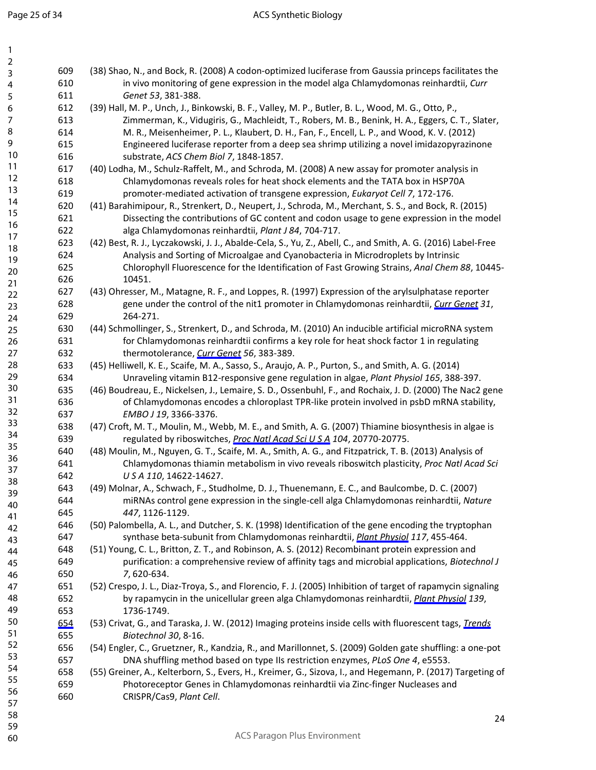| 2        |     |                                                                                                               |
|----------|-----|---------------------------------------------------------------------------------------------------------------|
| 3        | 609 | (38) Shao, N., and Bock, R. (2008) A codon-optimized luciferase from Gaussia princeps facilitates the         |
| 4        | 610 | in vivo monitoring of gene expression in the model alga Chlamydomonas reinhardtii, Curr                       |
| 5        | 611 | Genet 53, 381-388.                                                                                            |
| 6        | 612 | (39) Hall, M. P., Unch, J., Binkowski, B. F., Valley, M. P., Butler, B. L., Wood, M. G., Otto, P.,            |
| 7        | 613 | Zimmerman, K., Vidugiris, G., Machleidt, T., Robers, M. B., Benink, H. A., Eggers, C. T., Slater,             |
| 8        | 614 | M. R., Meisenheimer, P. L., Klaubert, D. H., Fan, F., Encell, L. P., and Wood, K. V. (2012)                   |
| 9        | 615 | Engineered luciferase reporter from a deep sea shrimp utilizing a novel imidazopyrazinone                     |
| 10       | 616 | substrate, ACS Chem Biol 7, 1848-1857.                                                                        |
| 11       | 617 | (40) Lodha, M., Schulz-Raffelt, M., and Schroda, M. (2008) A new assay for promoter analysis in               |
| 12       | 618 | Chlamydomonas reveals roles for heat shock elements and the TATA box in HSP70A                                |
| 13       | 619 | promoter-mediated activation of transgene expression, Eukaryot Cell 7, 172-176.                               |
| 14       | 620 | (41) Barahimipour, R., Strenkert, D., Neupert, J., Schroda, M., Merchant, S. S., and Bock, R. (2015)          |
| 15       | 621 | Dissecting the contributions of GC content and codon usage to gene expression in the model                    |
| 16       | 622 | alga Chlamydomonas reinhardtii, Plant J 84, 704-717.                                                          |
| 17       | 623 | (42) Best, R. J., Lyczakowski, J. J., Abalde-Cela, S., Yu, Z., Abell, C., and Smith, A. G. (2016) Label-Free  |
| 18       |     |                                                                                                               |
| 19       | 624 | Analysis and Sorting of Microalgae and Cyanobacteria in Microdroplets by Intrinsic                            |
| 20       | 625 | Chlorophyll Fluorescence for the Identification of Fast Growing Strains, Anal Chem 88, 10445-                 |
| 21       | 626 | 10451.                                                                                                        |
| 22       | 627 | (43) Ohresser, M., Matagne, R. F., and Loppes, R. (1997) Expression of the arylsulphatase reporter            |
| 23       | 628 | gene under the control of the nit1 promoter in Chlamydomonas reinhardtii, Curr Genet 31,                      |
| 24       | 629 | 264-271.                                                                                                      |
| 25       | 630 | (44) Schmollinger, S., Strenkert, D., and Schroda, M. (2010) An inducible artificial microRNA system          |
| 26       | 631 | for Chlamydomonas reinhardtii confirms a key role for heat shock factor 1 in regulating                       |
| 27       | 632 | thermotolerance, Curr Genet 56, 383-389.                                                                      |
| 28       | 633 | (45) Helliwell, K. E., Scaife, M. A., Sasso, S., Araujo, A. P., Purton, S., and Smith, A. G. (2014)           |
| 29       | 634 | Unraveling vitamin B12-responsive gene regulation in algae, Plant Physiol 165, 388-397.                       |
| 30       | 635 | (46) Boudreau, E., Nickelsen, J., Lemaire, S. D., Ossenbuhl, F., and Rochaix, J. D. (2000) The Nac2 gene      |
| 31       | 636 | of Chlamydomonas encodes a chloroplast TPR-like protein involved in psbD mRNA stability,                      |
| 32       | 637 | EMBO J 19, 3366-3376.                                                                                         |
| 33       | 638 | (47) Croft, M. T., Moulin, M., Webb, M. E., and Smith, A. G. (2007) Thiamine biosynthesis in algae is         |
| 34<br>35 | 639 | regulated by riboswitches, Proc Natl Acad Sci U S A 104, 20770-20775.                                         |
| 36       | 640 | (48) Moulin, M., Nguyen, G. T., Scaife, M. A., Smith, A. G., and Fitzpatrick, T. B. (2013) Analysis of        |
| 37       | 641 | Chlamydomonas thiamin metabolism in vivo reveals riboswitch plasticity, Proc Natl Acad Sci                    |
| 38       | 642 | USA 110, 14622-14627.                                                                                         |
| 39       | 643 | (49) Molnar, A., Schwach, F., Studholme, D. J., Thuenemann, E. C., and Baulcombe, D. C. (2007)                |
| 40       | 644 | miRNAs control gene expression in the single-cell alga Chlamydomonas reinhardtii, Nature                      |
| 41       | 645 | 447, 1126-1129.                                                                                               |
| 42       | 646 | (50) Palombella, A. L., and Dutcher, S. K. (1998) Identification of the gene encoding the tryptophan          |
| 43       | 647 | synthase beta-subunit from Chlamydomonas reinhardtii, <i>Plant Physiol</i> 117, 455-464.                      |
| 44       | 648 | (51) Young, C. L., Britton, Z. T., and Robinson, A. S. (2012) Recombinant protein expression and              |
| 45       | 649 | purification: a comprehensive review of affinity tags and microbial applications, Biotechnol J                |
| 46       | 650 | 7,620-634.                                                                                                    |
| 47       | 651 | (52) Crespo, J. L., Diaz-Troya, S., and Florencio, F. J. (2005) Inhibition of target of rapamycin signaling   |
| 48       | 652 | by rapamycin in the unicellular green alga Chlamydomonas reinhardtii, <i>Plant Physiol</i> 139,               |
| 49       | 653 | 1736-1749.                                                                                                    |
| 50       | 654 | (53) Crivat, G., and Taraska, J. W. (2012) Imaging proteins inside cells with fluorescent tags, <i>Trends</i> |
| 51       | 655 | Biotechnol 30, 8-16.                                                                                          |
| 52       | 656 | (54) Engler, C., Gruetzner, R., Kandzia, R., and Marillonnet, S. (2009) Golden gate shuffling: a one-pot      |
| 53       | 657 | DNA shuffling method based on type IIs restriction enzymes, PLoS One 4, e5553.                                |
| 54       | 658 | (55) Greiner, A., Kelterborn, S., Evers, H., Kreimer, G., Sizova, I., and Hegemann, P. (2017) Targeting of    |
| 55       | 659 | Photoreceptor Genes in Chlamydomonas reinhardtii via Zinc-finger Nucleases and                                |
| 56       | 660 | CRISPR/Cas9, Plant Cell.                                                                                      |
| 57       |     |                                                                                                               |
| 58       |     | 24                                                                                                            |
| 59       |     |                                                                                                               |
| 60       |     | <b>ACS Paragon Plus Environment</b>                                                                           |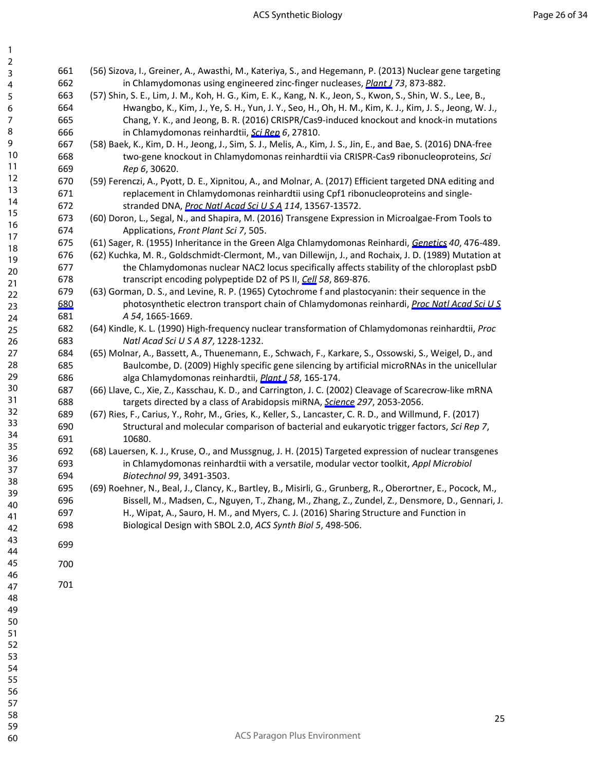| 2  |     |                                                                                                               |
|----|-----|---------------------------------------------------------------------------------------------------------------|
| 3  | 661 | (56) Sizova, I., Greiner, A., Awasthi, M., Kateriya, S., and Hegemann, P. (2013) Nuclear gene targeting       |
| 4  | 662 | in Chlamydomonas using engineered zinc-finger nucleases, Plant J 73, 873-882.                                 |
| 5  | 663 | (57) Shin, S. E., Lim, J. M., Koh, H. G., Kim, E. K., Kang, N. K., Jeon, S., Kwon, S., Shin, W. S., Lee, B.,  |
| 6  | 664 | Hwangbo, K., Kim, J., Ye, S. H., Yun, J. Y., Seo, H., Oh, H. M., Kim, K. J., Kim, J. S., Jeong, W. J.,        |
| 7  | 665 | Chang, Y. K., and Jeong, B. R. (2016) CRISPR/Cas9-induced knockout and knock-in mutations                     |
| 8  | 666 | in Chlamydomonas reinhardtii, Sci Rep 6, 27810.                                                               |
| 9  | 667 | (58) Baek, K., Kim, D. H., Jeong, J., Sim, S. J., Melis, A., Kim, J. S., Jin, E., and Bae, S. (2016) DNA-free |
| 10 | 668 | two-gene knockout in Chlamydomonas reinhardtii via CRISPR-Cas9 ribonucleoproteins, Sci                        |
| 11 | 669 | Rep 6, 30620.                                                                                                 |
| 12 | 670 | (59) Ferenczi, A., Pyott, D. E., Xipnitou, A., and Molnar, A. (2017) Efficient targeted DNA editing and       |
| 13 | 671 | replacement in Chlamydomonas reinhardtii using Cpf1 ribonucleoproteins and single-                            |
| 14 | 672 | stranded DNA, Proc Natl Acad Sci U S A 114, 13567-13572.                                                      |
| 15 | 673 |                                                                                                               |
| 16 |     | (60) Doron, L., Segal, N., and Shapira, M. (2016) Transgene Expression in Microalgae-From Tools to            |
| 17 | 674 | Applications, Front Plant Sci 7, 505.                                                                         |
| 18 | 675 | (61) Sager, R. (1955) Inheritance in the Green Alga Chlamydomonas Reinhardi, Genetics 40, 476-489.            |
| 19 | 676 | (62) Kuchka, M. R., Goldschmidt-Clermont, M., van Dillewijn, J., and Rochaix, J. D. (1989) Mutation at        |
| 20 | 677 | the Chlamydomonas nuclear NAC2 locus specifically affects stability of the chloroplast psbD                   |
| 21 | 678 | transcript encoding polypeptide D2 of PS II, Cell 58, 869-876.                                                |
| 22 | 679 | (63) Gorman, D. S., and Levine, R. P. (1965) Cytochrome f and plastocyanin: their sequence in the             |
| 23 | 680 | photosynthetic electron transport chain of Chlamydomonas reinhardi, Proc Natl Acad Sci US                     |
| 24 | 681 | A 54, 1665-1669.                                                                                              |
| 25 | 682 | (64) Kindle, K. L. (1990) High-frequency nuclear transformation of Chlamydomonas reinhardtii, Proc            |
| 26 | 683 | Natl Acad Sci U S A 87, 1228-1232.                                                                            |
| 27 | 684 | (65) Molnar, A., Bassett, A., Thuenemann, E., Schwach, F., Karkare, S., Ossowski, S., Weigel, D., and         |
| 28 | 685 | Baulcombe, D. (2009) Highly specific gene silencing by artificial microRNAs in the unicellular                |
| 29 | 686 | alga Chlamydomonas reinhardtii, <i>Plant J</i> 58, 165-174.                                                   |
| 30 | 687 | (66) Llave, C., Xie, Z., Kasschau, K. D., and Carrington, J. C. (2002) Cleavage of Scarecrow-like mRNA        |
| 31 | 688 | targets directed by a class of Arabidopsis miRNA, Science 297, 2053-2056.                                     |
| 32 | 689 | (67) Ries, F., Carius, Y., Rohr, M., Gries, K., Keller, S., Lancaster, C. R. D., and Willmund, F. (2017)      |
| 33 | 690 | Structural and molecular comparison of bacterial and eukaryotic trigger factors, Sci Rep 7,                   |
| 34 | 691 | 10680.                                                                                                        |
| 35 | 692 |                                                                                                               |
| 36 |     | (68) Lauersen, K. J., Kruse, O., and Mussgnug, J. H. (2015) Targeted expression of nuclear transgenes         |
| 37 | 693 | in Chlamydomonas reinhardtii with a versatile, modular vector toolkit, Appl Microbiol                         |
| 38 | 694 | Biotechnol 99, 3491-3503.                                                                                     |
| 39 | 695 | (69) Roehner, N., Beal, J., Clancy, K., Bartley, B., Misirli, G., Grunberg, R., Oberortner, E., Pocock, M.,   |
| 40 | 696 | Bissell, M., Madsen, C., Nguyen, T., Zhang, M., Zhang, Z., Zundel, Z., Densmore, D., Gennari, J.              |
| 41 | 697 | H., Wipat, A., Sauro, H. M., and Myers, C. J. (2016) Sharing Structure and Function in                        |
| 42 | 698 | Biological Design with SBOL 2.0, ACS Synth Biol 5, 498-506.                                                   |
| 43 | 699 |                                                                                                               |
| 44 |     |                                                                                                               |
| 45 | 700 |                                                                                                               |
| 46 |     |                                                                                                               |
| 47 | 701 |                                                                                                               |
| 48 |     |                                                                                                               |
| 49 |     |                                                                                                               |
| 50 |     |                                                                                                               |
| 51 |     |                                                                                                               |
| 52 |     |                                                                                                               |
| 53 |     |                                                                                                               |
| 54 |     |                                                                                                               |
| 55 |     |                                                                                                               |
| 56 |     |                                                                                                               |
| 57 |     |                                                                                                               |
| 58 |     | 25                                                                                                            |
| 59 |     |                                                                                                               |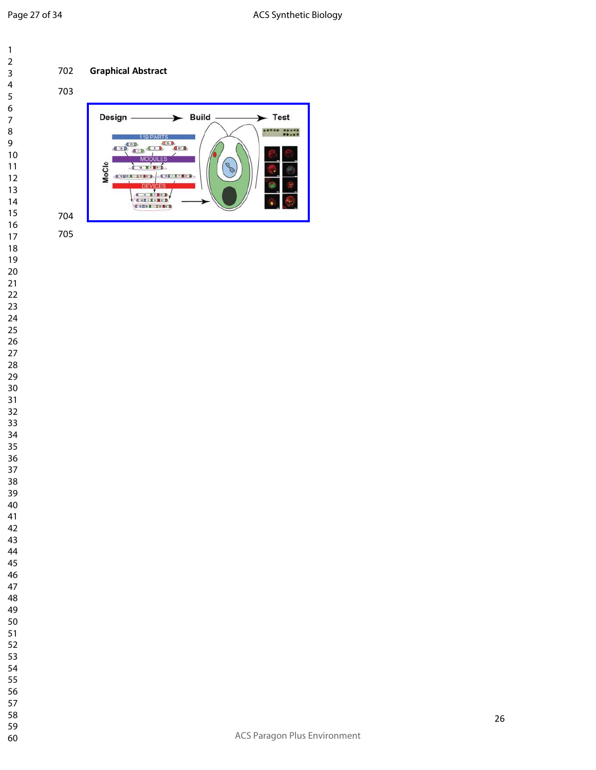**Graphical Abstract** 

#### $\rightarrow$  Build Design - $\blacktriangleright$  Test 119 PARTS г **ED CED CED CHA** MODULES MoClo **CONTRACTOR** Ø, **CARABORATA CESSARATES CARA**  $rac{R}{R}$ **Calle Hollegarp**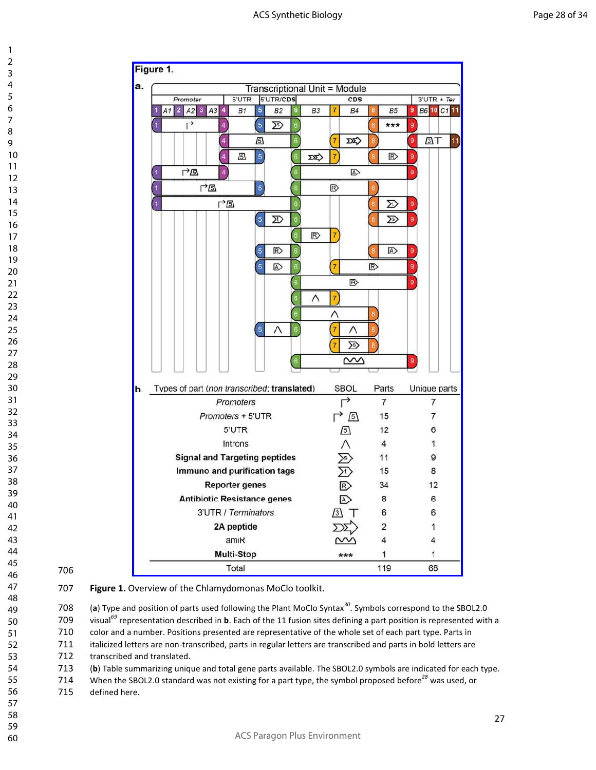



(**a**) Type and position of parts used following the Plant MoClo Syntax*<sup>30</sup>* . Symbols correspond to the SBOL2.0

709 visual<sup>69</sup> representation described in **b**. Each of the 11 fusion sites defining a part position is represented with a

color and a number. Positions presented are representative of the whole set of each part type. Parts in

italicized letters are non-transcribed, parts in regular letters are transcribed and parts in bold letters are 712 transcribed and translated.

(**b**) Table summarizing unique and total gene parts available. The SBOL2.0 symbols are indicated for each type.

714 When the SBOL2.0 standard was not existing for a part type, the symbol proposed before<sup>28</sup> was used, or

defined here.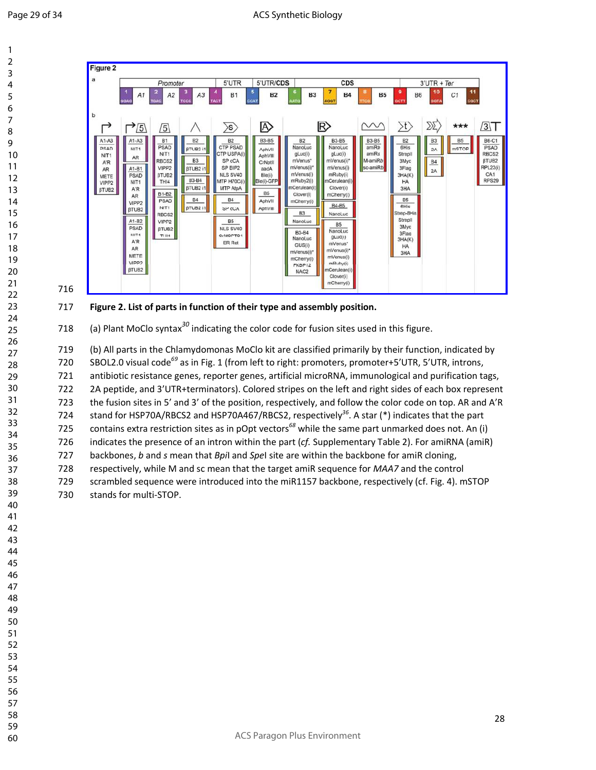| 1                            |
|------------------------------|
| 2                            |
| 3                            |
| 4                            |
| 5                            |
| 6                            |
|                              |
| 8                            |
| $\mathbf$<br>€               |
| 10                           |
| 11                           |
| 1<br>C                       |
| $\overline{13}$              |
| 14                           |
| 15                           |
|                              |
| 16                           |
| 1                            |
| 18                           |
| 19                           |
| 20                           |
| $\overline{21}$              |
| $\overline{2}$<br>,          |
| $\overline{23}$              |
| 24                           |
| 25                           |
| 26                           |
| 27                           |
| $^{28}$                      |
| 29                           |
| 30                           |
| $\overline{\textbf{3}}$      |
| $\overline{\mathbf{3}}$<br>, |
| $\overline{\mathbf{3}}$<br>ξ |
| 34                           |
| 35                           |
| 36                           |
|                              |
| 37<br>88                     |
|                              |
| 39                           |
| 40                           |
| 41                           |
| 42                           |
| 43                           |
| 44                           |
| 45                           |
| 46                           |
| 47                           |
| 48                           |
| 49                           |

| a                                                                                  |                                                                                                                                                                                                  | Promoter                                                                                                                                                                          |                                                                                                          | 5'UTR                                                                                                                                                                             | 5'UTR/CDS                                                                                                      |                                                                                                                                                                                                                                                            | <b>CDS</b>                                                                                                                                                                                                                                                                       |                                                       |                                                                                                                                                            | $3'UTR + Ter$                           |                    |
|------------------------------------------------------------------------------------|--------------------------------------------------------------------------------------------------------------------------------------------------------------------------------------------------|-----------------------------------------------------------------------------------------------------------------------------------------------------------------------------------|----------------------------------------------------------------------------------------------------------|-----------------------------------------------------------------------------------------------------------------------------------------------------------------------------------|----------------------------------------------------------------------------------------------------------------|------------------------------------------------------------------------------------------------------------------------------------------------------------------------------------------------------------------------------------------------------------|----------------------------------------------------------------------------------------------------------------------------------------------------------------------------------------------------------------------------------------------------------------------------------|-------------------------------------------------------|------------------------------------------------------------------------------------------------------------------------------------------------------------|-----------------------------------------|--------------------|
|                                                                                    | A1<br>GGAG                                                                                                                                                                                       | 2<br>A2<br>TGAC                                                                                                                                                                   | 3<br>A3<br>TCCC                                                                                          | 4<br><b>B1</b><br><b>TACT</b>                                                                                                                                                     | 5<br><b>B2</b><br>CCAT                                                                                         | <b>B3</b>                                                                                                                                                                                                                                                  | 7<br><b>B4</b><br><b>AGGT</b>                                                                                                                                                                                                                                                    | 8<br><b>B5</b>                                        | 9<br><b>B6</b><br><b>GCTT</b>                                                                                                                              | 10<br>GGTA                              | 11<br>C1<br>CGCT   |
| b                                                                                  | $\rightarrow$ (5)                                                                                                                                                                                | $\sqrt{5}$                                                                                                                                                                        |                                                                                                          | $\left\langle \mathbf{s}\right\rangle$                                                                                                                                            | D                                                                                                              |                                                                                                                                                                                                                                                            | $_{\mathbb{R}}$                                                                                                                                                                                                                                                                  | $\sim$                                                | $\geq t$                                                                                                                                                   | $\Sigma$                                | $***$              |
| $A1-A3$<br>PSAD<br>NIT <sub>1</sub><br>A'R<br>AR.<br>METE<br>VIPP2<br><b>BTUB2</b> | $A1-A3$<br>NIT <sub>1</sub><br>AR<br>$A1-B1$<br>PSAD<br>NIT <sub>1</sub><br>A'R<br>AR<br>VIPP <sub>2</sub><br>BTUB2<br>A1-B2<br>PSAD<br>NIT <sub>1</sub><br>A'R<br>AR.<br>METE<br>VIPP2<br>BTUB2 | <b>B1</b><br>PSAD<br>NIT <sub>1</sub><br>RBCS2<br>VIPP2<br>BTUB2<br>THI4<br><b>B1-B2</b><br><b>PSAD</b><br>NIT <sub>1</sub><br>RBCS2<br>VIPP <sub>2</sub><br>BTUB2<br><b>THI4</b> | <b>B2</b><br>BTUB2 i1<br>B <sub>3</sub><br>BTUB2 if<br><b>B3-B4</b><br>BTUB2 i1<br><b>B4</b><br>BTUB2 i1 | <b>B2</b><br>CTP PSAD<br>CTP USPA(i)<br>SP <sub>cCA</sub><br>SP BIP2<br>NLS SV40<br>MTP H70C(i)<br>MTP AtpA<br><b>B4</b><br>SP cCA<br><b>B5</b><br>NLS SV40<br>CrMSPTS1<br>ER Ret | <b>B3-B5</b><br>AphVII<br>AphVIII<br>CrNptil<br>aadA<br>Bie(i)<br>Ble(i)-GFP<br><b>B5</b><br>AphVII<br>AphVIII | <b>B2</b><br>NanoLuc<br>$q$ Luc $(i)$<br>mVenus*<br>mVenus(i)*<br>mVenus(i)<br>mRuby2(i)<br>mCerulean(i)<br>Clover(i)<br>mCherry(i)<br><b>B3</b><br>NanoLuc<br><b>B3-B4</b><br>NanoLuc<br>GUS(i)<br>mVenus(i)*<br>mCherry(i)<br>FKBP12<br>NAC <sub>2</sub> | <b>B3-B5</b><br>NanoLuc<br>gl.uc(i)<br>mVenus(i)*<br>mVenus(i)<br>mRuby(i)<br>mCerulean(i)<br>Clover(i)<br>mCherry(i)<br><b>B4-B5</b><br>NanoLuc<br><b>B5</b><br>NanoLuc<br>gluc(i)<br>mVenus*<br>mVenus(i)*<br>mVenus(i)<br>mRuby(i)<br>mCerulean(i)<br>Clover(i)<br>mCherry(i) | <b>B3-B5</b><br>amiRb<br>amiRs<br>M-amiRb<br>sc-amiRb | <b>B2</b><br>6His<br>Strepli<br>3Myc<br>3Flag<br>3HA(K)<br>HA<br>3HA<br><b>B5</b><br>6His<br>Strep-8His<br>Strepll<br>3Myc<br>3Flag<br>3HA(K)<br>HA<br>3HA | B <sub>3</sub><br>2A<br><b>B4</b><br>2A | <b>B5</b><br>mSTOP |

718 (a) Plant MoClo syntax<sup>30</sup> indicating the color code for fusion sites used in this figure.

719 (b) All parts in the Chlamydomonas MoClo kit are classified primarily by their function, indicated by 720 SBOL2.0 visual code<sup>69</sup> as in Fig. 1 (from left to right: promoters, promoter+5'UTR, 5'UTR, introns, 721 antibiotic resistance genes, reporter genes, artificial microRNA, immunological and purification tags, 722 2A peptide, and 3'UTR+terminators). Colored stripes on the left and right sides of each box represent 723 the fusion sites in 5' and 3' of the position, respectively, and follow the color code on top. AR and A'R 724 stand for HSP70A/RBCS2 and HSP70A467/RBCS2, respectively<sup>36</sup>. A star (\*) indicates that the part 725 contains extra restriction sites as in pOpt vectors<sup>68</sup> while the same part unmarked does not. An (i) 726 indicates the presence of an intron within the part (*cf.* Supplementary Table 2). For amiRNA (amiR) 727 backbones, *b* and *s* mean that *Bpi*I and *Spe*I site are within the backbone for amiR cloning, 728 respectively, while M and sc mean that the target amiR sequence for *MAA7* and the control 729 scrambled sequence were introduced into the miR1157 backbone, respectively (cf. Fig. 4). mSTOP 730 stands for multi-STOP.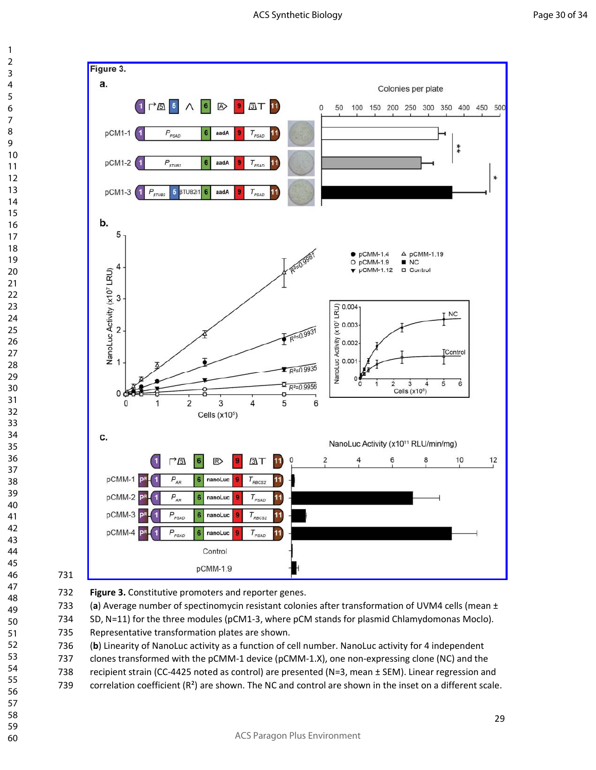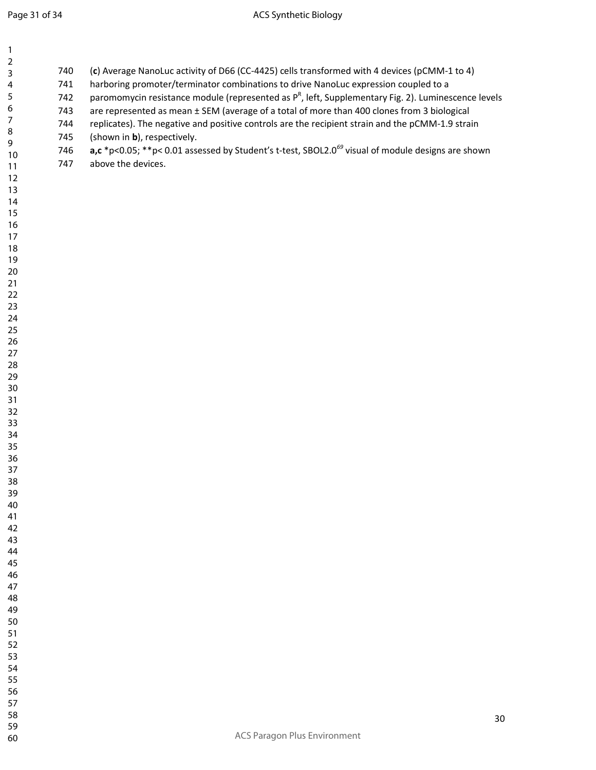| 1                |            |                                                                                                                                                                                     |
|------------------|------------|-------------------------------------------------------------------------------------------------------------------------------------------------------------------------------------|
| $\mathbf 2$      |            |                                                                                                                                                                                     |
| $\mathsf{3}$     | 740<br>741 | (c) Average NanoLuc activity of D66 (CC-4425) cells transformed with 4 devices (pCMM-1 to 4)<br>harboring promoter/terminator combinations to drive NanoLuc expression coupled to a |
| 4<br>5           | 742        | paromomycin resistance module (represented as P <sup>R</sup> , left, Supplementary Fig. 2). Luminescence levels                                                                     |
| 6                | 743        | are represented as mean ± SEM (average of a total of more than 400 clones from 3 biological                                                                                         |
| $\boldsymbol{7}$ | 744        | replicates). The negative and positive controls are the recipient strain and the pCMM-1.9 strain                                                                                    |
| 8                | 745        | (shown in b), respectively.                                                                                                                                                         |
| 9                |            | a,c *p<0.05; **p<0.01 assessed by Student's t-test, SBOL2.0 <sup>69</sup> visual of module designs are shown                                                                        |
| $10\,$           | 746        |                                                                                                                                                                                     |
| 11               | 747        | above the devices.                                                                                                                                                                  |
| 12<br>13         |            |                                                                                                                                                                                     |
| 14               |            |                                                                                                                                                                                     |
| 15               |            |                                                                                                                                                                                     |
| 16               |            |                                                                                                                                                                                     |
| 17               |            |                                                                                                                                                                                     |
| 18               |            |                                                                                                                                                                                     |
| 19               |            |                                                                                                                                                                                     |
| 20<br>21         |            |                                                                                                                                                                                     |
| 22               |            |                                                                                                                                                                                     |
| 23               |            |                                                                                                                                                                                     |
| 24               |            |                                                                                                                                                                                     |
| 25               |            |                                                                                                                                                                                     |
| 26               |            |                                                                                                                                                                                     |
| 27               |            |                                                                                                                                                                                     |
| 28<br>29         |            |                                                                                                                                                                                     |
| 30               |            |                                                                                                                                                                                     |
| 31               |            |                                                                                                                                                                                     |
| 32               |            |                                                                                                                                                                                     |
| 33               |            |                                                                                                                                                                                     |
| 34               |            |                                                                                                                                                                                     |
| 35               |            |                                                                                                                                                                                     |
| 36<br>37         |            |                                                                                                                                                                                     |
| 38               |            |                                                                                                                                                                                     |
| 39               |            |                                                                                                                                                                                     |
| 40               |            |                                                                                                                                                                                     |
| 41               |            |                                                                                                                                                                                     |
| 42               |            |                                                                                                                                                                                     |
| 43<br>44         |            |                                                                                                                                                                                     |
| 45               |            |                                                                                                                                                                                     |
| 46               |            |                                                                                                                                                                                     |
| 47               |            |                                                                                                                                                                                     |
| 48               |            |                                                                                                                                                                                     |
| 49               |            |                                                                                                                                                                                     |
| 50               |            |                                                                                                                                                                                     |
| 51<br>52         |            |                                                                                                                                                                                     |
| 53               |            |                                                                                                                                                                                     |
| 54               |            |                                                                                                                                                                                     |
| 55               |            |                                                                                                                                                                                     |
| 56               |            |                                                                                                                                                                                     |
| 57               |            |                                                                                                                                                                                     |
| 58<br>59         |            | 30                                                                                                                                                                                  |
| 60               |            | <b>ACS Paragon Plus Environment</b>                                                                                                                                                 |
|                  |            |                                                                                                                                                                                     |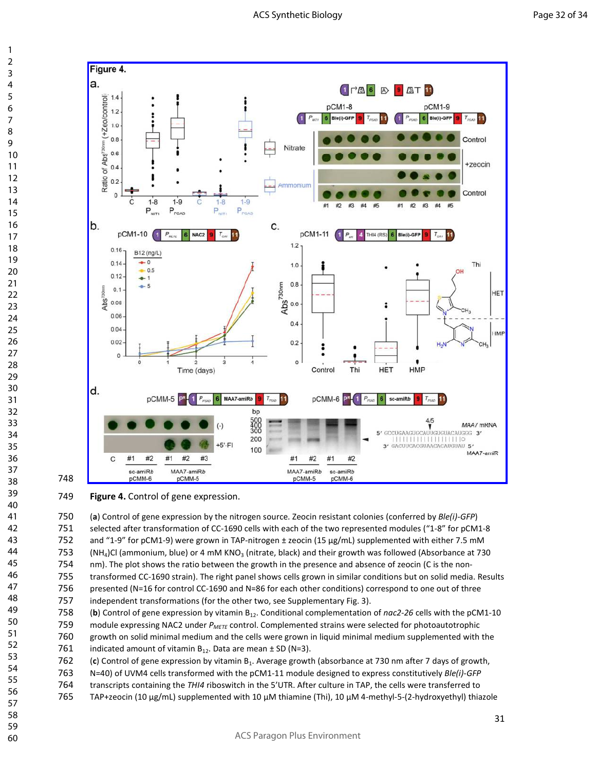

**Figure 4.** Control of gene expression.

(**a**) Control of gene expression by the nitrogen source. Zeocin resistant colonies (conferred by *Ble(i)-GFP*) selected after transformation of CC-1690 cells with each of the two represented modules ("1-8" for pCM1-8 and "1-9" for pCM1-9) were grown in TAP-nitrogen ± zeocin (15 µg/mL) supplemented with either 7.5 mM 753 (NH<sub>4</sub>)Cl (ammonium, blue) or 4 mM KNO<sub>3</sub> (nitrate, black) and their growth was followed (Absorbance at 730 nm). The plot shows the ratio between the growth in the presence and absence of zeocin (C is the non-transformed CC-1690 strain). The right panel shows cells grown in similar conditions but on solid media. Results presented (N=16 for control CC-1690 and N=86 for each other conditions) correspond to one out of three independent transformations (for the other two, see Supplementary Fig. 3). 758 (b) Control of gene expression by vitamin B<sub>12</sub>. Conditional complementation of *nac2-26* cells with the pCM1-10 module expressing NAC2 under *PMETE* control. Complemented strains were selected for photoautotrophic growth on solid minimal medium and the cells were grown in liquid minimal medium supplemented with the 761 indicated amount of vitamin  $B_{12}$ . Data are mean  $\pm$  SD (N=3).

(**c**) Control of gene expression by vitamin B1. Average growth (absorbance at 730 nm after 7 days of growth, N=40) of UVM4 cells transformed with the pCM1-11 module designed to express constitutively *Ble(i)-GFP* transcripts containing the *THI4* riboswitch in the 5'UTR. After culture in TAP, the cells were transferred to

TAP+zeocin (10 µg/mL) supplemented with 10 µM thiamine (Thi), 10 µM 4-methyl-5-(2-hydroxyethyl) thiazole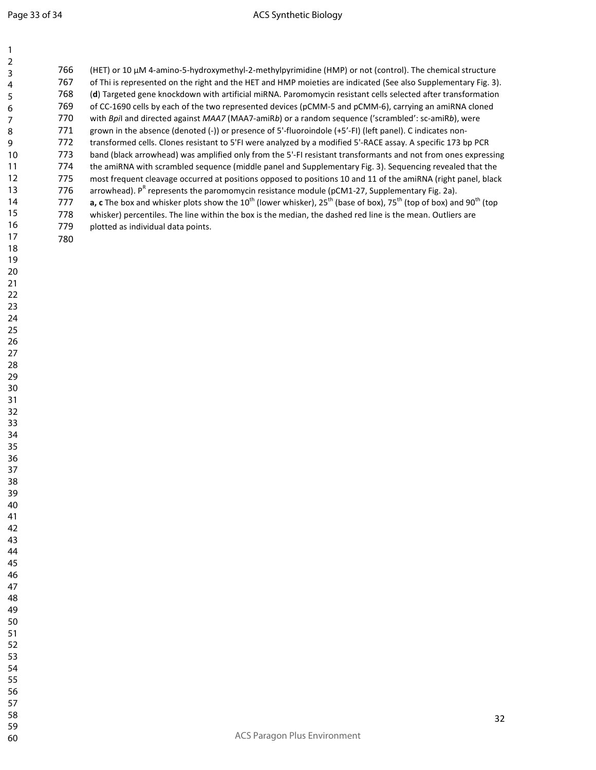#### ACS Synthetic Biology

| $\mathbf{1}$            |     |                                                                                                                                              |
|-------------------------|-----|----------------------------------------------------------------------------------------------------------------------------------------------|
| $\overline{\mathbf{c}}$ | 766 | (HET) or 10 μM 4-amino-5-hydroxymethyl-2-methylpyrimidine (HMP) or not (control). The chemical structure                                     |
| 3                       | 767 | of Thi is represented on the right and the HET and HMP moieties are indicated (See also Supplementary Fig. 3).                               |
| 4                       | 768 | (d) Targeted gene knockdown with artificial miRNA. Paromomycin resistant cells selected after transformation                                 |
| 5                       |     |                                                                                                                                              |
| 6                       | 769 | of CC-1690 cells by each of the two represented devices (pCMM-5 and pCMM-6), carrying an amiRNA cloned                                       |
| $\overline{7}$          | 770 | with Bpil and directed against MAA7 (MAA7-amiRb) or a random sequence ('scrambled': sc-amiRb), were                                          |
| 8                       | 771 | grown in the absence (denoted (-)) or presence of 5'-fluoroindole (+5'-FI) (left panel). C indicates non-                                    |
| 9                       | 772 | transformed cells. Clones resistant to 5'FI were analyzed by a modified 5'-RACE assay. A specific 173 bp PCR                                 |
| 10                      | 773 | band (black arrowhead) was amplified only from the 5'-FI resistant transformants and not from ones expressing                                |
| 11                      | 774 | the amiRNA with scrambled sequence (middle panel and Supplementary Fig. 3). Sequencing revealed that the                                     |
| 12                      | 775 | most frequent cleavage occurred at positions opposed to positions 10 and 11 of the amiRNA (right panel, black                                |
| 13                      | 776 | arrowhead). $P^R$ represents the paromomycin resistance module (pCM1-27, Supplementary Fig. 2a).                                             |
| 14                      | 777 | a, c The box and whisker plots show the 10 <sup>th</sup> (lower whisker), $25^{th}$ (base of box), $75^{th}$ (top of box) and $90^{th}$ (top |
| 15                      | 778 | whisker) percentiles. The line within the box is the median, the dashed red line is the mean. Outliers are                                   |
| 16                      | 779 | plotted as individual data points.                                                                                                           |
| 17                      | 780 |                                                                                                                                              |
| 18                      |     |                                                                                                                                              |
| 19                      |     |                                                                                                                                              |
| $20\,$                  |     |                                                                                                                                              |
| 21                      |     |                                                                                                                                              |
| 22                      |     |                                                                                                                                              |
| 23                      |     |                                                                                                                                              |
| 24                      |     |                                                                                                                                              |
| 25                      |     |                                                                                                                                              |
| 26                      |     |                                                                                                                                              |
| 27                      |     |                                                                                                                                              |
| 28                      |     |                                                                                                                                              |
| 29                      |     |                                                                                                                                              |
| 30                      |     |                                                                                                                                              |
| 31                      |     |                                                                                                                                              |
| 32                      |     |                                                                                                                                              |
| 33                      |     |                                                                                                                                              |
| 34                      |     |                                                                                                                                              |
| 35                      |     |                                                                                                                                              |
| 36                      |     |                                                                                                                                              |
| 37                      |     |                                                                                                                                              |
| 38                      |     |                                                                                                                                              |
| 39                      |     |                                                                                                                                              |
| 40                      |     |                                                                                                                                              |
| 41                      |     |                                                                                                                                              |
| 42                      |     |                                                                                                                                              |
| 43                      |     |                                                                                                                                              |
| 44                      |     |                                                                                                                                              |
| 45                      |     |                                                                                                                                              |
| 46                      |     |                                                                                                                                              |
| 47                      |     |                                                                                                                                              |
| 48                      |     |                                                                                                                                              |
| 49                      |     |                                                                                                                                              |
| 50                      |     |                                                                                                                                              |
| 51                      |     |                                                                                                                                              |
| 52                      |     |                                                                                                                                              |
| 53                      |     |                                                                                                                                              |
| 54                      |     |                                                                                                                                              |
| 55                      |     |                                                                                                                                              |
| 56                      |     |                                                                                                                                              |
| 57                      |     |                                                                                                                                              |
|                         |     |                                                                                                                                              |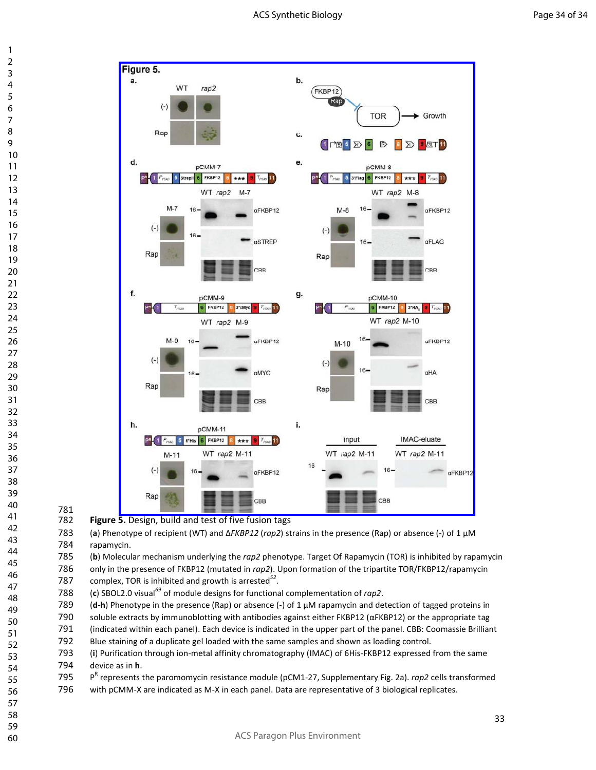



with pCMM-X are indicated as M-X in each panel. Data are representative of 3 biological replicates.